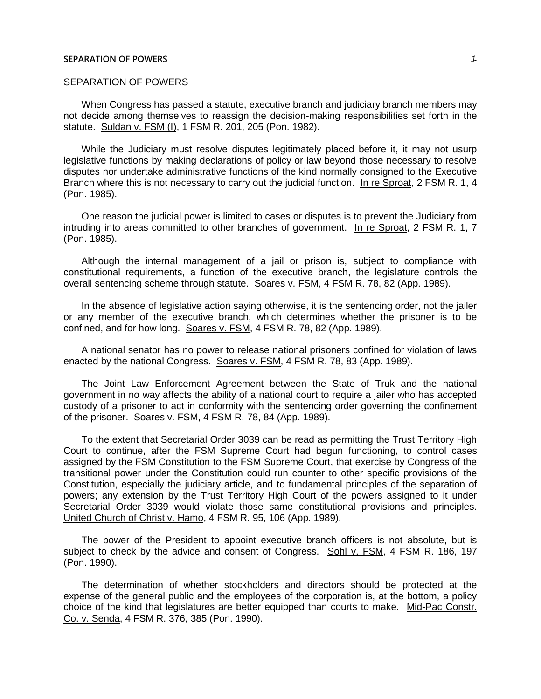## SEPARATION OF POWERS

When Congress has passed a statute, executive branch and judiciary branch members may not decide among themselves to reassign the decision-making responsibilities set forth in the statute. Suldan v. FSM (I), 1 FSM R. 201, 205 (Pon. 1982).

While the Judiciary must resolve disputes legitimately placed before it, it may not usurp legislative functions by making declarations of policy or law beyond those necessary to resolve disputes nor undertake administrative functions of the kind normally consigned to the Executive Branch where this is not necessary to carry out the judicial function. In re Sproat, 2 FSM R. 1, 4 (Pon. 1985).

One reason the judicial power is limited to cases or disputes is to prevent the Judiciary from intruding into areas committed to other branches of government. In re Sproat, 2 FSM R. 1, 7 (Pon. 1985).

Although the internal management of a jail or prison is, subject to compliance with constitutional requirements, a function of the executive branch, the legislature controls the overall sentencing scheme through statute. Soares v. FSM, 4 FSM R. 78, 82 (App. 1989).

In the absence of legislative action saying otherwise, it is the sentencing order, not the jailer or any member of the executive branch, which determines whether the prisoner is to be confined, and for how long. Soares v. FSM, 4 FSM R. 78, 82 (App. 1989).

A national senator has no power to release national prisoners confined for violation of laws enacted by the national Congress. Soares v. FSM, 4 FSM R. 78, 83 (App. 1989).

The Joint Law Enforcement Agreement between the State of Truk and the national government in no way affects the ability of a national court to require a jailer who has accepted custody of a prisoner to act in conformity with the sentencing order governing the confinement of the prisoner. Soares v. FSM, 4 FSM R. 78, 84 (App. 1989).

To the extent that Secretarial Order 3039 can be read as permitting the Trust Territory High Court to continue, after the FSM Supreme Court had begun functioning, to control cases assigned by the FSM Constitution to the FSM Supreme Court, that exercise by Congress of the transitional power under the Constitution could run counter to other specific provisions of the Constitution, especially the judiciary article, and to fundamental principles of the separation of powers; any extension by the Trust Territory High Court of the powers assigned to it under Secretarial Order 3039 would violate those same constitutional provisions and principles. United Church of Christ v. Hamo, 4 FSM R. 95, 106 (App. 1989).

The power of the President to appoint executive branch officers is not absolute, but is subject to check by the advice and consent of Congress. Sohl v. FSM, 4 FSM R. 186, 197 (Pon. 1990).

The determination of whether stockholders and directors should be protected at the expense of the general public and the employees of the corporation is, at the bottom, a policy choice of the kind that legislatures are better equipped than courts to make. Mid-Pac Constr. Co. v. Senda, 4 FSM R. 376, 385 (Pon. 1990).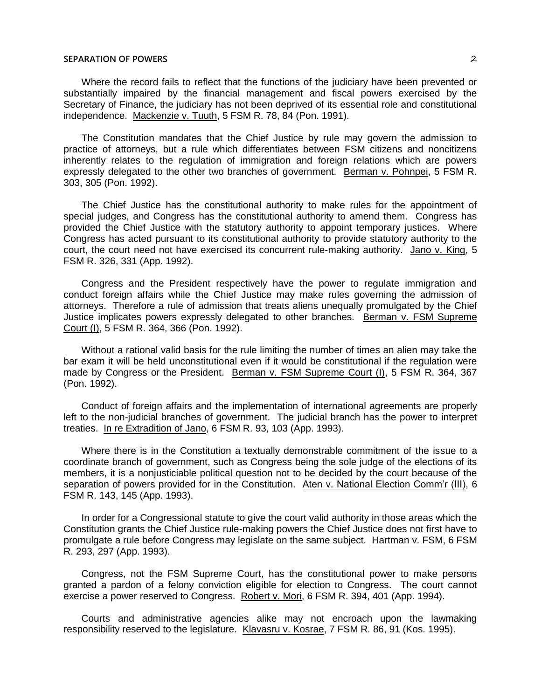Where the record fails to reflect that the functions of the judiciary have been prevented or substantially impaired by the financial management and fiscal powers exercised by the Secretary of Finance, the judiciary has not been deprived of its essential role and constitutional independence. Mackenzie v. Tuuth, 5 FSM R. 78, 84 (Pon. 1991).

The Constitution mandates that the Chief Justice by rule may govern the admission to practice of attorneys, but a rule which differentiates between FSM citizens and noncitizens inherently relates to the regulation of immigration and foreign relations which are powers expressly delegated to the other two branches of government. Berman v. Pohnpei, 5 FSM R. 303, 305 (Pon. 1992).

The Chief Justice has the constitutional authority to make rules for the appointment of special judges, and Congress has the constitutional authority to amend them. Congress has provided the Chief Justice with the statutory authority to appoint temporary justices. Where Congress has acted pursuant to its constitutional authority to provide statutory authority to the court, the court need not have exercised its concurrent rule-making authority. Jano v. King, 5 FSM R. 326, 331 (App. 1992).

Congress and the President respectively have the power to regulate immigration and conduct foreign affairs while the Chief Justice may make rules governing the admission of attorneys. Therefore a rule of admission that treats aliens unequally promulgated by the Chief Justice implicates powers expressly delegated to other branches. Berman v. FSM Supreme Court (I), 5 FSM R. 364, 366 (Pon. 1992).

Without a rational valid basis for the rule limiting the number of times an alien may take the bar exam it will be held unconstitutional even if it would be constitutional if the regulation were made by Congress or the President. Berman v. FSM Supreme Court (I), 5 FSM R. 364, 367 (Pon. 1992).

Conduct of foreign affairs and the implementation of international agreements are properly left to the non-judicial branches of government. The judicial branch has the power to interpret treaties. In re Extradition of Jano, 6 FSM R. 93, 103 (App. 1993).

Where there is in the Constitution a textually demonstrable commitment of the issue to a coordinate branch of government, such as Congress being the sole judge of the elections of its members, it is a nonjusticiable political question not to be decided by the court because of the separation of powers provided for in the Constitution. Aten v. National Election Comm'r (III), 6 FSM R. 143, 145 (App. 1993).

In order for a Congressional statute to give the court valid authority in those areas which the Constitution grants the Chief Justice rule-making powers the Chief Justice does not first have to promulgate a rule before Congress may legislate on the same subject. Hartman v. FSM, 6 FSM R. 293, 297 (App. 1993).

Congress, not the FSM Supreme Court, has the constitutional power to make persons granted a pardon of a felony conviction eligible for election to Congress. The court cannot exercise a power reserved to Congress. Robert v. Mori, 6 FSM R. 394, 401 (App. 1994).

Courts and administrative agencies alike may not encroach upon the lawmaking responsibility reserved to the legislature. Klavasru v. Kosrae, 7 FSM R. 86, 91 (Kos. 1995).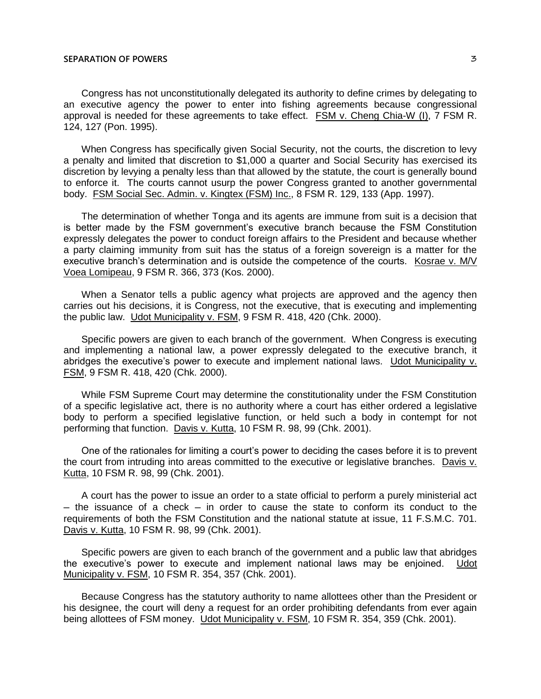Congress has not unconstitutionally delegated its authority to define crimes by delegating to an executive agency the power to enter into fishing agreements because congressional approval is needed for these agreements to take effect. FSM v. Cheng Chia-W (I), 7 FSM R. 124, 127 (Pon. 1995).

When Congress has specifically given Social Security, not the courts, the discretion to levy a penalty and limited that discretion to \$1,000 a quarter and Social Security has exercised its discretion by levying a penalty less than that allowed by the statute, the court is generally bound to enforce it. The courts cannot usurp the power Congress granted to another governmental body. FSM Social Sec. Admin. v. Kingtex (FSM) Inc., 8 FSM R. 129, 133 (App. 1997).

The determination of whether Tonga and its agents are immune from suit is a decision that is better made by the FSM government's executive branch because the FSM Constitution expressly delegates the power to conduct foreign affairs to the President and because whether a party claiming immunity from suit has the status of a foreign sovereign is a matter for the executive branch's determination and is outside the competence of the courts. Kosrae v. M/V Voea Lomipeau, 9 FSM R. 366, 373 (Kos. 2000).

When a Senator tells a public agency what projects are approved and the agency then carries out his decisions, it is Congress, not the executive, that is executing and implementing the public law. Udot Municipality v. FSM, 9 FSM R. 418, 420 (Chk. 2000).

Specific powers are given to each branch of the government. When Congress is executing and implementing a national law, a power expressly delegated to the executive branch, it abridges the executive's power to execute and implement national laws. Udot Municipality v. FSM, 9 FSM R. 418, 420 (Chk. 2000).

While FSM Supreme Court may determine the constitutionality under the FSM Constitution of a specific legislative act, there is no authority where a court has either ordered a legislative body to perform a specified legislative function, or held such a body in contempt for not performing that function. Davis v. Kutta, 10 FSM R. 98, 99 (Chk. 2001).

One of the rationales for limiting a court's power to deciding the cases before it is to prevent the court from intruding into areas committed to the executive or legislative branches. Davis v. Kutta, 10 FSM R. 98, 99 (Chk. 2001).

A court has the power to issue an order to a state official to perform a purely ministerial act ─ the issuance of a check ─ in order to cause the state to conform its conduct to the requirements of both the FSM Constitution and the national statute at issue, 11 F.S.M.C. 701. Davis v. Kutta, 10 FSM R. 98, 99 (Chk. 2001).

Specific powers are given to each branch of the government and a public law that abridges the executive's power to execute and implement national laws may be enjoined. Udot Municipality v. FSM, 10 FSM R. 354, 357 (Chk. 2001).

Because Congress has the statutory authority to name allottees other than the President or his designee, the court will deny a request for an order prohibiting defendants from ever again being allottees of FSM money. Udot Municipality v. FSM, 10 FSM R. 354, 359 (Chk. 2001).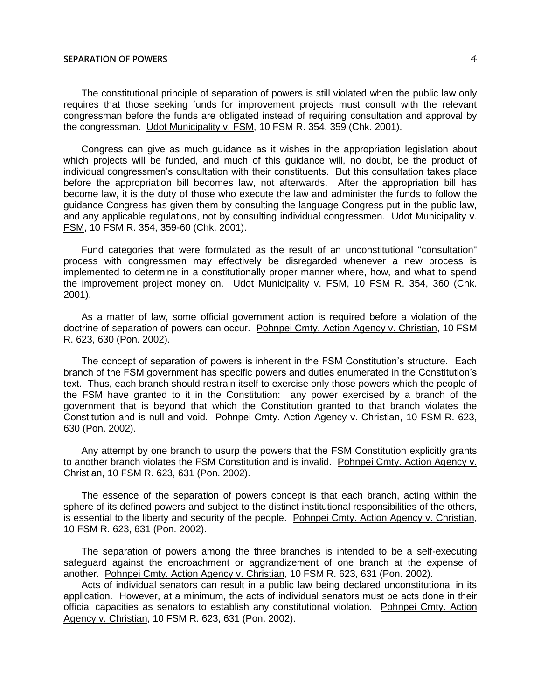The constitutional principle of separation of powers is still violated when the public law only requires that those seeking funds for improvement projects must consult with the relevant congressman before the funds are obligated instead of requiring consultation and approval by the congressman. Udot Municipality v. FSM, 10 FSM R. 354, 359 (Chk. 2001).

Congress can give as much guidance as it wishes in the appropriation legislation about which projects will be funded, and much of this guidance will, no doubt, be the product of individual congressmen's consultation with their constituents. But this consultation takes place before the appropriation bill becomes law, not afterwards. After the appropriation bill has become law, it is the duty of those who execute the law and administer the funds to follow the guidance Congress has given them by consulting the language Congress put in the public law, and any applicable regulations, not by consulting individual congressmen. Udot Municipality v. FSM, 10 FSM R. 354, 359-60 (Chk. 2001).

Fund categories that were formulated as the result of an unconstitutional "consultation" process with congressmen may effectively be disregarded whenever a new process is implemented to determine in a constitutionally proper manner where, how, and what to spend the improvement project money on. Udot Municipality v. FSM, 10 FSM R. 354, 360 (Chk. 2001).

As a matter of law, some official government action is required before a violation of the doctrine of separation of powers can occur. Pohnpei Cmty. Action Agency v. Christian, 10 FSM R. 623, 630 (Pon. 2002).

The concept of separation of powers is inherent in the FSM Constitution's structure. Each branch of the FSM government has specific powers and duties enumerated in the Constitution's text. Thus, each branch should restrain itself to exercise only those powers which the people of the FSM have granted to it in the Constitution: any power exercised by a branch of the government that is beyond that which the Constitution granted to that branch violates the Constitution and is null and void. Pohnpei Cmty. Action Agency v. Christian, 10 FSM R. 623, 630 (Pon. 2002).

Any attempt by one branch to usurp the powers that the FSM Constitution explicitly grants to another branch violates the FSM Constitution and is invalid. Pohnpei Cmty. Action Agency v. Christian, 10 FSM R. 623, 631 (Pon. 2002).

The essence of the separation of powers concept is that each branch, acting within the sphere of its defined powers and subject to the distinct institutional responsibilities of the others, is essential to the liberty and security of the people. Pohnpei Cmty. Action Agency v. Christian, 10 FSM R. 623, 631 (Pon. 2002).

The separation of powers among the three branches is intended to be a self-executing safeguard against the encroachment or aggrandizement of one branch at the expense of another. Pohnpei Cmty. Action Agency v. Christian, 10 FSM R. 623, 631 (Pon. 2002).

Acts of individual senators can result in a public law being declared unconstitutional in its application. However, at a minimum, the acts of individual senators must be acts done in their official capacities as senators to establish any constitutional violation. Pohnpei Cmty. Action Agency v. Christian, 10 FSM R. 623, 631 (Pon. 2002).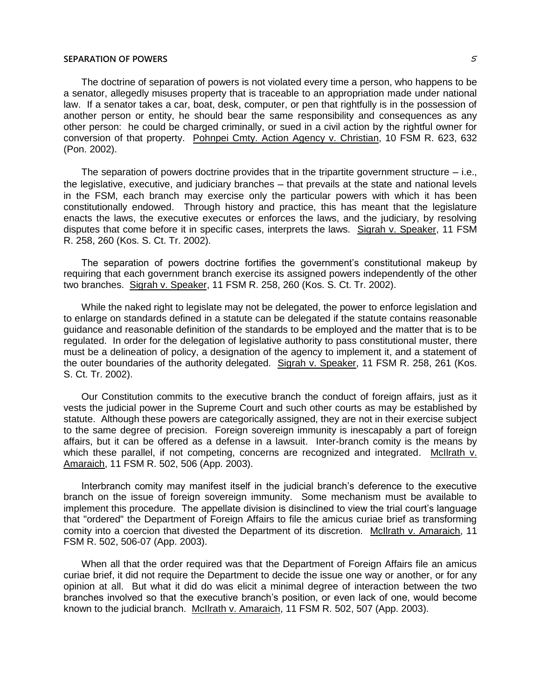The doctrine of separation of powers is not violated every time a person, who happens to be a senator, allegedly misuses property that is traceable to an appropriation made under national law. If a senator takes a car, boat, desk, computer, or pen that rightfully is in the possession of another person or entity, he should bear the same responsibility and consequences as any other person: he could be charged criminally, or sued in a civil action by the rightful owner for conversion of that property. Pohnpei Cmty. Action Agency v. Christian, 10 FSM R. 623, 632 (Pon. 2002).

The separation of powers doctrine provides that in the tripartite government structure  $-$  i.e., the legislative, executive, and judiciary branches — that prevails at the state and national levels in the FSM, each branch may exercise only the particular powers with which it has been constitutionally endowed. Through history and practice, this has meant that the legislature enacts the laws, the executive executes or enforces the laws, and the judiciary, by resolving disputes that come before it in specific cases, interprets the laws. Sigrah v. Speaker, 11 FSM R. 258, 260 (Kos. S. Ct. Tr. 2002).

The separation of powers doctrine fortifies the government's constitutional makeup by requiring that each government branch exercise its assigned powers independently of the other two branches. Sigrah v. Speaker, 11 FSM R. 258, 260 (Kos. S. Ct. Tr. 2002).

While the naked right to legislate may not be delegated, the power to enforce legislation and to enlarge on standards defined in a statute can be delegated if the statute contains reasonable guidance and reasonable definition of the standards to be employed and the matter that is to be regulated. In order for the delegation of legislative authority to pass constitutional muster, there must be a delineation of policy, a designation of the agency to implement it, and a statement of the outer boundaries of the authority delegated. Sigrah v. Speaker, 11 FSM R. 258, 261 (Kos. S. Ct. Tr. 2002).

Our Constitution commits to the executive branch the conduct of foreign affairs, just as it vests the judicial power in the Supreme Court and such other courts as may be established by statute. Although these powers are categorically assigned, they are not in their exercise subject to the same degree of precision. Foreign sovereign immunity is inescapably a part of foreign affairs, but it can be offered as a defense in a lawsuit. Inter-branch comity is the means by which these parallel, if not competing, concerns are recognized and integrated. McIlrath v. Amaraich, 11 FSM R. 502, 506 (App. 2003).

Interbranch comity may manifest itself in the judicial branch's deference to the executive branch on the issue of foreign sovereign immunity. Some mechanism must be available to implement this procedure. The appellate division is disinclined to view the trial court's language that "ordered" the Department of Foreign Affairs to file the amicus curiae brief as transforming comity into a coercion that divested the Department of its discretion. McIlrath v. Amaraich, 11 FSM R. 502, 506-07 (App. 2003).

When all that the order required was that the Department of Foreign Affairs file an amicus curiae brief, it did not require the Department to decide the issue one way or another, or for any opinion at all. But what it did do was elicit a minimal degree of interaction between the two branches involved so that the executive branch's position, or even lack of one, would become known to the judicial branch. McIlrath v. Amaraich, 11 FSM R. 502, 507 (App. 2003).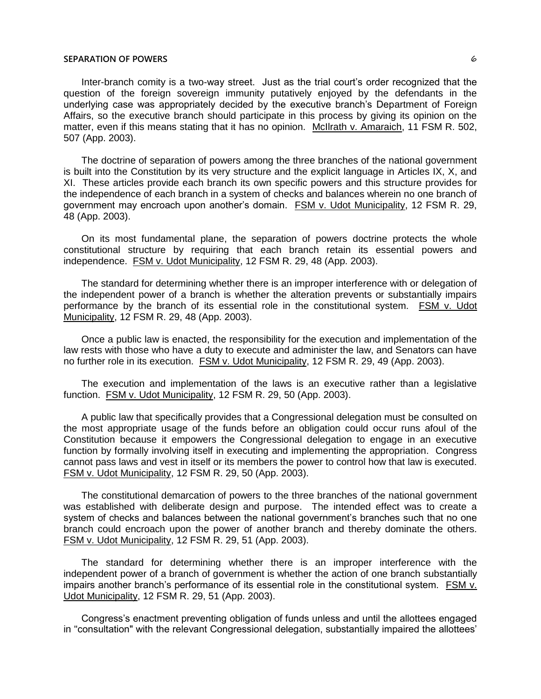Inter-branch comity is a two-way street. Just as the trial court's order recognized that the question of the foreign sovereign immunity putatively enjoyed by the defendants in the underlying case was appropriately decided by the executive branch's Department of Foreign Affairs, so the executive branch should participate in this process by giving its opinion on the matter, even if this means stating that it has no opinion. McIlrath v. Amaraich, 11 FSM R. 502, 507 (App. 2003).

The doctrine of separation of powers among the three branches of the national government is built into the Constitution by its very structure and the explicit language in Articles IX, X, and XI. These articles provide each branch its own specific powers and this structure provides for the independence of each branch in a system of checks and balances wherein no one branch of government may encroach upon another's domain. FSM v. Udot Municipality, 12 FSM R. 29, 48 (App. 2003).

On its most fundamental plane, the separation of powers doctrine protects the whole constitutional structure by requiring that each branch retain its essential powers and independence. FSM v. Udot Municipality, 12 FSM R. 29, 48 (App. 2003).

The standard for determining whether there is an improper interference with or delegation of the independent power of a branch is whether the alteration prevents or substantially impairs performance by the branch of its essential role in the constitutional system. FSM v. Udot Municipality, 12 FSM R. 29, 48 (App. 2003).

Once a public law is enacted, the responsibility for the execution and implementation of the law rests with those who have a duty to execute and administer the law, and Senators can have no further role in its execution. FSM v. Udot Municipality, 12 FSM R. 29, 49 (App. 2003).

The execution and implementation of the laws is an executive rather than a legislative function. FSM v. Udot Municipality, 12 FSM R. 29, 50 (App. 2003).

A public law that specifically provides that a Congressional delegation must be consulted on the most appropriate usage of the funds before an obligation could occur runs afoul of the Constitution because it empowers the Congressional delegation to engage in an executive function by formally involving itself in executing and implementing the appropriation. Congress cannot pass laws and vest in itself or its members the power to control how that law is executed. FSM v. Udot Municipality, 12 FSM R. 29, 50 (App. 2003).

The constitutional demarcation of powers to the three branches of the national government was established with deliberate design and purpose. The intended effect was to create a system of checks and balances between the national government's branches such that no one branch could encroach upon the power of another branch and thereby dominate the others. FSM v. Udot Municipality, 12 FSM R. 29, 51 (App. 2003).

The standard for determining whether there is an improper interference with the independent power of a branch of government is whether the action of one branch substantially impairs another branch's performance of its essential role in the constitutional system. FSM v. Udot Municipality, 12 FSM R. 29, 51 (App. 2003).

Congress's enactment preventing obligation of funds unless and until the allottees engaged in "consultation" with the relevant Congressional delegation, substantially impaired the allottees'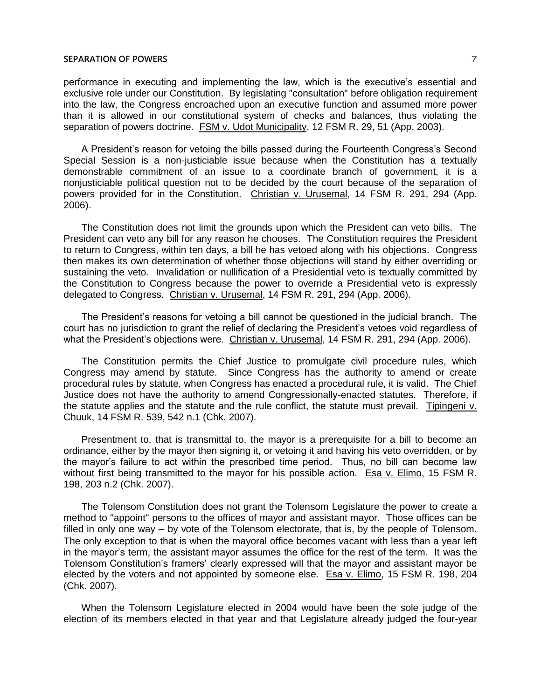performance in executing and implementing the law, which is the executive's essential and exclusive role under our Constitution. By legislating "consultation" before obligation requirement into the law, the Congress encroached upon an executive function and assumed more power than it is allowed in our constitutional system of checks and balances, thus violating the separation of powers doctrine. FSM v. Udot Municipality, 12 FSM R. 29, 51 (App. 2003).

A President's reason for vetoing the bills passed during the Fourteenth Congress's Second Special Session is a non-justiciable issue because when the Constitution has a textually demonstrable commitment of an issue to a coordinate branch of government, it is a nonjusticiable political question not to be decided by the court because of the separation of powers provided for in the Constitution. Christian v. Urusemal, 14 FSM R. 291, 294 (App. 2006).

The Constitution does not limit the grounds upon which the President can veto bills. The President can veto any bill for any reason he chooses. The Constitution requires the President to return to Congress, within ten days, a bill he has vetoed along with his objections. Congress then makes its own determination of whether those objections will stand by either overriding or sustaining the veto. Invalidation or nullification of a Presidential veto is textually committed by the Constitution to Congress because the power to override a Presidential veto is expressly delegated to Congress. Christian v. Urusemal, 14 FSM R. 291, 294 (App. 2006).

The President's reasons for vetoing a bill cannot be questioned in the judicial branch. The court has no jurisdiction to grant the relief of declaring the President's vetoes void regardless of what the President's objections were. Christian v. Urusemal, 14 FSM R. 291, 294 (App. 2006).

The Constitution permits the Chief Justice to promulgate civil procedure rules, which Congress may amend by statute. Since Congress has the authority to amend or create procedural rules by statute, when Congress has enacted a procedural rule, it is valid. The Chief Justice does not have the authority to amend Congressionally-enacted statutes. Therefore, if the statute applies and the statute and the rule conflict, the statute must prevail. Tipingeni v. Chuuk, 14 FSM R. 539, 542 n.1 (Chk. 2007).

Presentment to, that is transmittal to, the mayor is a prerequisite for a bill to become an ordinance, either by the mayor then signing it, or vetoing it and having his veto overridden, or by the mayor's failure to act within the prescribed time period. Thus, no bill can become law without first being transmitted to the mayor for his possible action. Esa v. Elimo, 15 FSM R. 198, 203 n.2 (Chk. 2007).

The Tolensom Constitution does not grant the Tolensom Legislature the power to create a method to "appoint" persons to the offices of mayor and assistant mayor. Those offices can be filled in only one way — by vote of the Tolensom electorate, that is, by the people of Tolensom. The only exception to that is when the mayoral office becomes vacant with less than a year left in the mayor's term, the assistant mayor assumes the office for the rest of the term. It was the Tolensom Constitution's framers' clearly expressed will that the mayor and assistant mayor be elected by the voters and not appointed by someone else. Esa v. Elimo, 15 FSM R. 198, 204 (Chk. 2007).

When the Tolensom Legislature elected in 2004 would have been the sole judge of the election of its members elected in that year and that Legislature already judged the four-year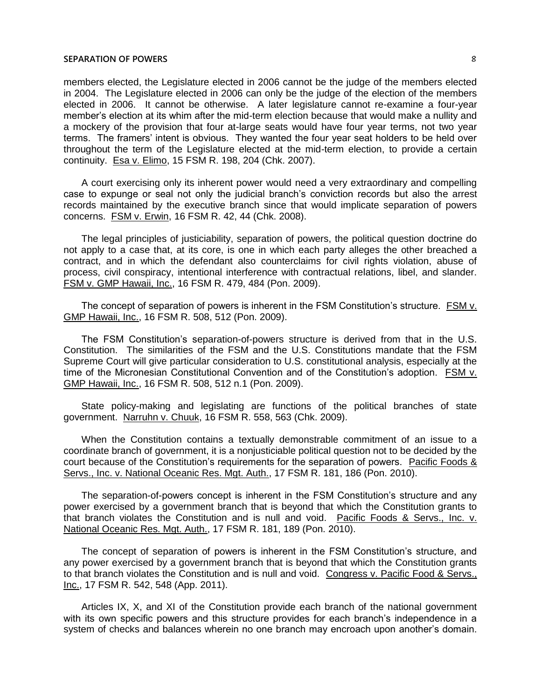members elected, the Legislature elected in 2006 cannot be the judge of the members elected in 2004. The Legislature elected in 2006 can only be the judge of the election of the members elected in 2006. It cannot be otherwise. A later legislature cannot re-examine a four-year member's election at its whim after the mid-term election because that would make a nullity and a mockery of the provision that four at-large seats would have four year terms, not two year terms. The framers' intent is obvious. They wanted the four year seat holders to be held over throughout the term of the Legislature elected at the mid-term election, to provide a certain continuity. Esa v. Elimo, 15 FSM R. 198, 204 (Chk. 2007).

A court exercising only its inherent power would need a very extraordinary and compelling case to expunge or seal not only the judicial branch's conviction records but also the arrest records maintained by the executive branch since that would implicate separation of powers concerns. FSM v. Erwin, 16 FSM R. 42, 44 (Chk. 2008).

The legal principles of justiciability, separation of powers, the political question doctrine do not apply to a case that, at its core, is one in which each party alleges the other breached a contract, and in which the defendant also counterclaims for civil rights violation, abuse of process, civil conspiracy, intentional interference with contractual relations, libel, and slander. FSM v. GMP Hawaii, Inc., 16 FSM R. 479, 484 (Pon. 2009).

The concept of separation of powers is inherent in the FSM Constitution's structure. FSM v. GMP Hawaii, Inc., 16 FSM R. 508, 512 (Pon. 2009).

The FSM Constitution's separation-of-powers structure is derived from that in the U.S. Constitution. The similarities of the FSM and the U.S. Constitutions mandate that the FSM Supreme Court will give particular consideration to U.S. constitutional analysis, especially at the time of the Micronesian Constitutional Convention and of the Constitution's adoption. FSM v. GMP Hawaii, Inc., 16 FSM R. 508, 512 n.1 (Pon. 2009).

State policy-making and legislating are functions of the political branches of state government. Narruhn v. Chuuk, 16 FSM R. 558, 563 (Chk. 2009).

When the Constitution contains a textually demonstrable commitment of an issue to a coordinate branch of government, it is a nonjusticiable political question not to be decided by the court because of the Constitution's requirements for the separation of powers. Pacific Foods & Servs., Inc. v. National Oceanic Res. Mgt. Auth., 17 FSM R. 181, 186 (Pon. 2010).

The separation-of-powers concept is inherent in the FSM Constitution's structure and any power exercised by a government branch that is beyond that which the Constitution grants to that branch violates the Constitution and is null and void. Pacific Foods & Servs., Inc. v. National Oceanic Res. Mgt. Auth., 17 FSM R. 181, 189 (Pon. 2010).

The concept of separation of powers is inherent in the FSM Constitution's structure, and any power exercised by a government branch that is beyond that which the Constitution grants to that branch violates the Constitution and is null and void. Congress v. Pacific Food & Servs., Inc., 17 FSM R. 542, 548 (App. 2011).

Articles IX, X, and XI of the Constitution provide each branch of the national government with its own specific powers and this structure provides for each branch's independence in a system of checks and balances wherein no one branch may encroach upon another's domain.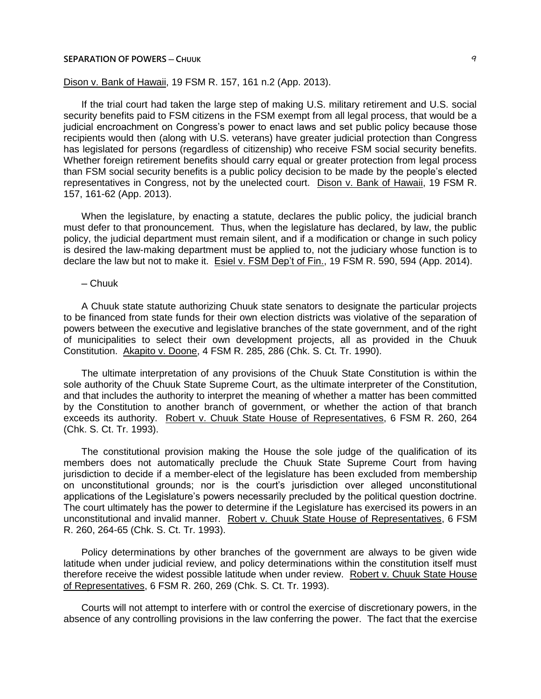## **SEPARATION OF POWERS ─ CHUUK** 9

# Dison v. Bank of Hawaii, 19 FSM R. 157, 161 n.2 (App. 2013).

If the trial court had taken the large step of making U.S. military retirement and U.S. social security benefits paid to FSM citizens in the FSM exempt from all legal process, that would be a judicial encroachment on Congress's power to enact laws and set public policy because those recipients would then (along with U.S. veterans) have greater judicial protection than Congress has legislated for persons (regardless of citizenship) who receive FSM social security benefits. Whether foreign retirement benefits should carry equal or greater protection from legal process than FSM social security benefits is a public policy decision to be made by the people's elected representatives in Congress, not by the unelected court. Dison v. Bank of Hawaii, 19 FSM R. 157, 161-62 (App. 2013).

When the legislature, by enacting a statute, declares the public policy, the judicial branch must defer to that pronouncement. Thus, when the legislature has declared, by law, the public policy, the judicial department must remain silent, and if a modification or change in such policy is desired the law-making department must be applied to, not the judiciary whose function is to declare the law but not to make it. Esiel v. FSM Dep't of Fin., 19 FSM R. 590, 594 (App. 2014).

## ─ Chuuk

A Chuuk state statute authorizing Chuuk state senators to designate the particular projects to be financed from state funds for their own election districts was violative of the separation of powers between the executive and legislative branches of the state government, and of the right of municipalities to select their own development projects, all as provided in the Chuuk Constitution. Akapito v. Doone, 4 FSM R. 285, 286 (Chk. S. Ct. Tr. 1990).

The ultimate interpretation of any provisions of the Chuuk State Constitution is within the sole authority of the Chuuk State Supreme Court, as the ultimate interpreter of the Constitution, and that includes the authority to interpret the meaning of whether a matter has been committed by the Constitution to another branch of government, or whether the action of that branch exceeds its authority. Robert v. Chuuk State House of Representatives, 6 FSM R. 260, 264 (Chk. S. Ct. Tr. 1993).

The constitutional provision making the House the sole judge of the qualification of its members does not automatically preclude the Chuuk State Supreme Court from having jurisdiction to decide if a member-elect of the legislature has been excluded from membership on unconstitutional grounds; nor is the court's jurisdiction over alleged unconstitutional applications of the Legislature's powers necessarily precluded by the political question doctrine. The court ultimately has the power to determine if the Legislature has exercised its powers in an unconstitutional and invalid manner. Robert v. Chuuk State House of Representatives, 6 FSM R. 260, 264-65 (Chk. S. Ct. Tr. 1993).

Policy determinations by other branches of the government are always to be given wide latitude when under judicial review, and policy determinations within the constitution itself must therefore receive the widest possible latitude when under review. Robert v. Chuuk State House of Representatives, 6 FSM R. 260, 269 (Chk. S. Ct. Tr. 1993).

Courts will not attempt to interfere with or control the exercise of discretionary powers, in the absence of any controlling provisions in the law conferring the power. The fact that the exercise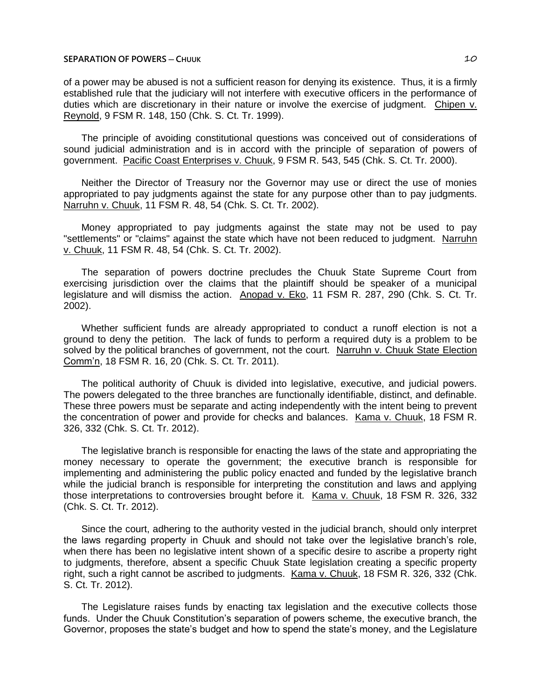## **SEPARATION OF POWERS ─ CHUUK** 10

of a power may be abused is not a sufficient reason for denying its existence. Thus, it is a firmly established rule that the judiciary will not interfere with executive officers in the performance of duties which are discretionary in their nature or involve the exercise of judgment. Chipen v. Reynold, 9 FSM R. 148, 150 (Chk. S. Ct. Tr. 1999).

The principle of avoiding constitutional questions was conceived out of considerations of sound judicial administration and is in accord with the principle of separation of powers of government. Pacific Coast Enterprises v. Chuuk, 9 FSM R. 543, 545 (Chk. S. Ct. Tr. 2000).

Neither the Director of Treasury nor the Governor may use or direct the use of monies appropriated to pay judgments against the state for any purpose other than to pay judgments. Narruhn v. Chuuk, 11 FSM R. 48, 54 (Chk. S. Ct. Tr. 2002).

Money appropriated to pay judgments against the state may not be used to pay "settlements" or "claims" against the state which have not been reduced to judgment. Narruhn v. Chuuk, 11 FSM R. 48, 54 (Chk. S. Ct. Tr. 2002).

The separation of powers doctrine precludes the Chuuk State Supreme Court from exercising jurisdiction over the claims that the plaintiff should be speaker of a municipal legislature and will dismiss the action. Anopad v. Eko, 11 FSM R. 287, 290 (Chk. S. Ct. Tr. 2002).

Whether sufficient funds are already appropriated to conduct a runoff election is not a ground to deny the petition. The lack of funds to perform a required duty is a problem to be solved by the political branches of government, not the court. Narruhn v. Chuuk State Election Comm'n, 18 FSM R. 16, 20 (Chk. S. Ct. Tr. 2011).

The political authority of Chuuk is divided into legislative, executive, and judicial powers. The powers delegated to the three branches are functionally identifiable, distinct, and definable. These three powers must be separate and acting independently with the intent being to prevent the concentration of power and provide for checks and balances. Kama v. Chuuk, 18 FSM R. 326, 332 (Chk. S. Ct. Tr. 2012).

The legislative branch is responsible for enacting the laws of the state and appropriating the money necessary to operate the government; the executive branch is responsible for implementing and administering the public policy enacted and funded by the legislative branch while the judicial branch is responsible for interpreting the constitution and laws and applying those interpretations to controversies brought before it. Kama v. Chuuk, 18 FSM R. 326, 332 (Chk. S. Ct. Tr. 2012).

Since the court, adhering to the authority vested in the judicial branch, should only interpret the laws regarding property in Chuuk and should not take over the legislative branch's role, when there has been no legislative intent shown of a specific desire to ascribe a property right to judgments, therefore, absent a specific Chuuk State legislation creating a specific property right, such a right cannot be ascribed to judgments. Kama v. Chuuk, 18 FSM R. 326, 332 (Chk. S. Ct. Tr. 2012).

The Legislature raises funds by enacting tax legislation and the executive collects those funds. Under the Chuuk Constitution's separation of powers scheme, the executive branch, the Governor, proposes the state's budget and how to spend the state's money, and the Legislature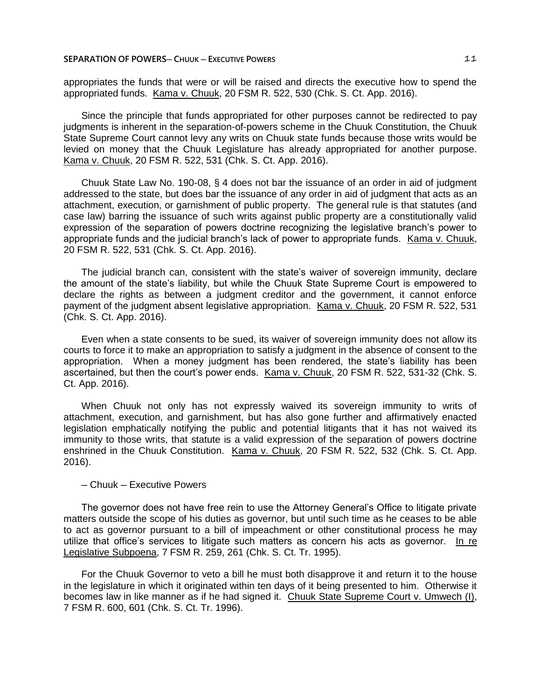appropriates the funds that were or will be raised and directs the executive how to spend the appropriated funds. Kama v. Chuuk, 20 FSM R. 522, 530 (Chk. S. Ct. App. 2016).

Since the principle that funds appropriated for other purposes cannot be redirected to pay judgments is inherent in the separation-of-powers scheme in the Chuuk Constitution, the Chuuk State Supreme Court cannot levy any writs on Chuuk state funds because those writs would be levied on money that the Chuuk Legislature has already appropriated for another purpose. Kama v. Chuuk, 20 FSM R. 522, 531 (Chk. S. Ct. App. 2016).

Chuuk State Law No. 190-08, § 4 does not bar the issuance of an order in aid of judgment addressed to the state, but does bar the issuance of any order in aid of judgment that acts as an attachment, execution, or garnishment of public property. The general rule is that statutes (and case law) barring the issuance of such writs against public property are a constitutionally valid expression of the separation of powers doctrine recognizing the legislative branch's power to appropriate funds and the judicial branch's lack of power to appropriate funds. Kama v. Chuuk, 20 FSM R. 522, 531 (Chk. S. Ct. App. 2016).

The judicial branch can, consistent with the state's waiver of sovereign immunity, declare the amount of the state's liability, but while the Chuuk State Supreme Court is empowered to declare the rights as between a judgment creditor and the government, it cannot enforce payment of the judgment absent legislative appropriation. Kama v. Chuuk, 20 FSM R. 522, 531 (Chk. S. Ct. App. 2016).

Even when a state consents to be sued, its waiver of sovereign immunity does not allow its courts to force it to make an appropriation to satisfy a judgment in the absence of consent to the appropriation. When a money judgment has been rendered, the state's liability has been ascertained, but then the court's power ends. Kama v. Chuuk, 20 FSM R. 522, 531-32 (Chk. S. Ct. App. 2016).

When Chuuk not only has not expressly waived its sovereign immunity to writs of attachment, execution, and garnishment, but has also gone further and affirmatively enacted legislation emphatically notifying the public and potential litigants that it has not waived its immunity to those writs, that statute is a valid expression of the separation of powers doctrine enshrined in the Chuuk Constitution. Kama v. Chuuk, 20 FSM R. 522, 532 (Chk. S. Ct. App. 2016).

#### ─ Chuuk ─ Executive Powers

The governor does not have free rein to use the Attorney General's Office to litigate private matters outside the scope of his duties as governor, but until such time as he ceases to be able to act as governor pursuant to a bill of impeachment or other constitutional process he may utilize that office's services to litigate such matters as concern his acts as governor. In re Legislative Subpoena, 7 FSM R. 259, 261 (Chk. S. Ct. Tr. 1995).

For the Chuuk Governor to veto a bill he must both disapprove it and return it to the house in the legislature in which it originated within ten days of it being presented to him. Otherwise it becomes law in like manner as if he had signed it. Chuuk State Supreme Court v. Umwech (I), 7 FSM R. 600, 601 (Chk. S. Ct. Tr. 1996).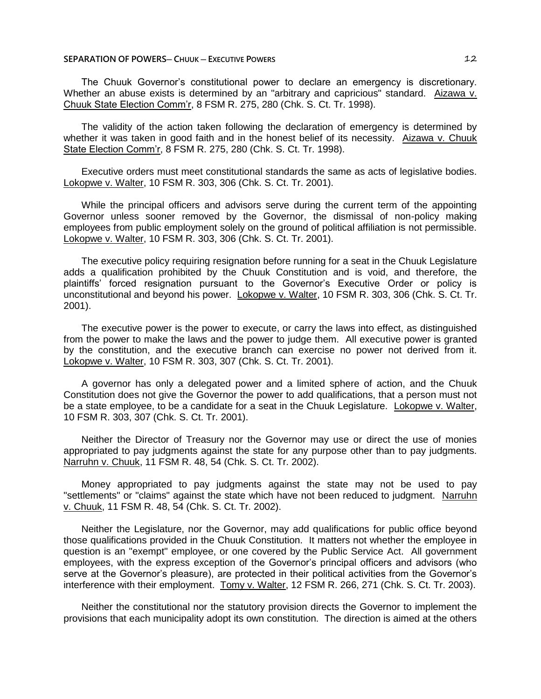## **SEPARATION OF POWERS─ CHUUK ─ EXECUTIVE POWERS** 12

The Chuuk Governor's constitutional power to declare an emergency is discretionary. Whether an abuse exists is determined by an "arbitrary and capricious" standard. Aizawa v. Chuuk State Election Comm'r, 8 FSM R. 275, 280 (Chk. S. Ct. Tr. 1998).

The validity of the action taken following the declaration of emergency is determined by whether it was taken in good faith and in the honest belief of its necessity. Aizawa v. Chuuk State Election Comm'r, 8 FSM R. 275, 280 (Chk. S. Ct. Tr. 1998).

Executive orders must meet constitutional standards the same as acts of legislative bodies. Lokopwe v. Walter, 10 FSM R. 303, 306 (Chk. S. Ct. Tr. 2001).

While the principal officers and advisors serve during the current term of the appointing Governor unless sooner removed by the Governor, the dismissal of non-policy making employees from public employment solely on the ground of political affiliation is not permissible. Lokopwe v. Walter, 10 FSM R. 303, 306 (Chk. S. Ct. Tr. 2001).

The executive policy requiring resignation before running for a seat in the Chuuk Legislature adds a qualification prohibited by the Chuuk Constitution and is void, and therefore, the plaintiffs' forced resignation pursuant to the Governor's Executive Order or policy is unconstitutional and beyond his power. Lokopwe v. Walter, 10 FSM R. 303, 306 (Chk. S. Ct. Tr. 2001).

The executive power is the power to execute, or carry the laws into effect, as distinguished from the power to make the laws and the power to judge them. All executive power is granted by the constitution, and the executive branch can exercise no power not derived from it. Lokopwe v. Walter, 10 FSM R. 303, 307 (Chk. S. Ct. Tr. 2001).

A governor has only a delegated power and a limited sphere of action, and the Chuuk Constitution does not give the Governor the power to add qualifications, that a person must not be a state employee, to be a candidate for a seat in the Chuuk Legislature. Lokopwe v. Walter, 10 FSM R. 303, 307 (Chk. S. Ct. Tr. 2001).

Neither the Director of Treasury nor the Governor may use or direct the use of monies appropriated to pay judgments against the state for any purpose other than to pay judgments. Narruhn v. Chuuk, 11 FSM R. 48, 54 (Chk. S. Ct. Tr. 2002).

Money appropriated to pay judgments against the state may not be used to pay "settlements" or "claims" against the state which have not been reduced to judgment. Narruhn v. Chuuk, 11 FSM R. 48, 54 (Chk. S. Ct. Tr. 2002).

Neither the Legislature, nor the Governor, may add qualifications for public office beyond those qualifications provided in the Chuuk Constitution. It matters not whether the employee in question is an "exempt" employee, or one covered by the Public Service Act. All government employees, with the express exception of the Governor's principal officers and advisors (who serve at the Governor's pleasure), are protected in their political activities from the Governor's interference with their employment. Tomy v. Walter, 12 FSM R. 266, 271 (Chk. S. Ct. Tr. 2003).

Neither the constitutional nor the statutory provision directs the Governor to implement the provisions that each municipality adopt its own constitution. The direction is aimed at the others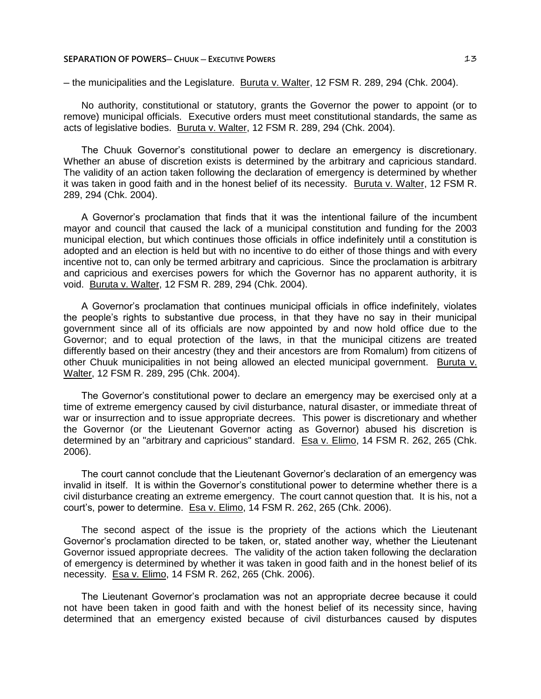## **SEPARATION OF POWERS— CHUUK — EXECUTIVE POWERS <b>13**

─ the municipalities and the Legislature. Buruta v. Walter, 12 FSM R. 289, 294 (Chk. 2004).

No authority, constitutional or statutory, grants the Governor the power to appoint (or to remove) municipal officials. Executive orders must meet constitutional standards, the same as acts of legislative bodies. Buruta v. Walter, 12 FSM R. 289, 294 (Chk. 2004).

The Chuuk Governor's constitutional power to declare an emergency is discretionary. Whether an abuse of discretion exists is determined by the arbitrary and capricious standard. The validity of an action taken following the declaration of emergency is determined by whether it was taken in good faith and in the honest belief of its necessity. Buruta v. Walter, 12 FSM R. 289, 294 (Chk. 2004).

A Governor's proclamation that finds that it was the intentional failure of the incumbent mayor and council that caused the lack of a municipal constitution and funding for the 2003 municipal election, but which continues those officials in office indefinitely until a constitution is adopted and an election is held but with no incentive to do either of those things and with every incentive not to, can only be termed arbitrary and capricious. Since the proclamation is arbitrary and capricious and exercises powers for which the Governor has no apparent authority, it is void. Buruta v. Walter, 12 FSM R. 289, 294 (Chk. 2004).

A Governor's proclamation that continues municipal officials in office indefinitely, violates the people's rights to substantive due process, in that they have no say in their municipal government since all of its officials are now appointed by and now hold office due to the Governor; and to equal protection of the laws, in that the municipal citizens are treated differently based on their ancestry (they and their ancestors are from Romalum) from citizens of other Chuuk municipalities in not being allowed an elected municipal government. Buruta v. Walter, 12 FSM R. 289, 295 (Chk. 2004).

The Governor's constitutional power to declare an emergency may be exercised only at a time of extreme emergency caused by civil disturbance, natural disaster, or immediate threat of war or insurrection and to issue appropriate decrees. This power is discretionary and whether the Governor (or the Lieutenant Governor acting as Governor) abused his discretion is determined by an "arbitrary and capricious" standard. Esa v. Elimo, 14 FSM R. 262, 265 (Chk. 2006).

The court cannot conclude that the Lieutenant Governor's declaration of an emergency was invalid in itself. It is within the Governor's constitutional power to determine whether there is a civil disturbance creating an extreme emergency. The court cannot question that. It is his, not a court's, power to determine. Esa v. Elimo, 14 FSM R. 262, 265 (Chk. 2006).

The second aspect of the issue is the propriety of the actions which the Lieutenant Governor's proclamation directed to be taken, or, stated another way, whether the Lieutenant Governor issued appropriate decrees. The validity of the action taken following the declaration of emergency is determined by whether it was taken in good faith and in the honest belief of its necessity. Esa v. Elimo, 14 FSM R. 262, 265 (Chk. 2006).

The Lieutenant Governor's proclamation was not an appropriate decree because it could not have been taken in good faith and with the honest belief of its necessity since, having determined that an emergency existed because of civil disturbances caused by disputes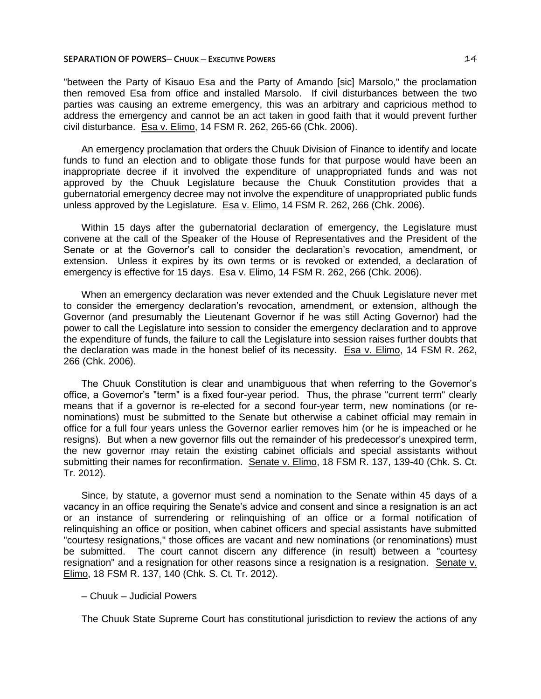## **SEPARATION OF POWERS— CHUUK — EXECUTIVE POWERS <b>14 14**

"between the Party of Kisauo Esa and the Party of Amando [sic] Marsolo," the proclamation then removed Esa from office and installed Marsolo. If civil disturbances between the two parties was causing an extreme emergency, this was an arbitrary and capricious method to address the emergency and cannot be an act taken in good faith that it would prevent further civil disturbance. Esa v. Elimo, 14 FSM R. 262, 265-66 (Chk. 2006).

An emergency proclamation that orders the Chuuk Division of Finance to identify and locate funds to fund an election and to obligate those funds for that purpose would have been an inappropriate decree if it involved the expenditure of unappropriated funds and was not approved by the Chuuk Legislature because the Chuuk Constitution provides that a gubernatorial emergency decree may not involve the expenditure of unappropriated public funds unless approved by the Legislature. Esa v. Elimo, 14 FSM R. 262, 266 (Chk. 2006).

Within 15 days after the gubernatorial declaration of emergency, the Legislature must convene at the call of the Speaker of the House of Representatives and the President of the Senate or at the Governor's call to consider the declaration's revocation, amendment, or extension. Unless it expires by its own terms or is revoked or extended, a declaration of emergency is effective for 15 days. Esa v. Elimo, 14 FSM R. 262, 266 (Chk. 2006).

When an emergency declaration was never extended and the Chuuk Legislature never met to consider the emergency declaration's revocation, amendment, or extension, although the Governor (and presumably the Lieutenant Governor if he was still Acting Governor) had the power to call the Legislature into session to consider the emergency declaration and to approve the expenditure of funds, the failure to call the Legislature into session raises further doubts that the declaration was made in the honest belief of its necessity. Esa v. Elimo, 14 FSM R. 262, 266 (Chk. 2006).

The Chuuk Constitution is clear and unambiguous that when referring to the Governor's office, a Governor's "term" is a fixed four-year period. Thus, the phrase "current term" clearly means that if a governor is re-elected for a second four-year term, new nominations (or renominations) must be submitted to the Senate but otherwise a cabinet official may remain in office for a full four years unless the Governor earlier removes him (or he is impeached or he resigns). But when a new governor fills out the remainder of his predecessor's unexpired term, the new governor may retain the existing cabinet officials and special assistants without submitting their names for reconfirmation. Senate v. Elimo, 18 FSM R. 137, 139-40 (Chk. S. Ct. Tr. 2012).

Since, by statute, a governor must send a nomination to the Senate within 45 days of a vacancy in an office requiring the Senate's advice and consent and since a resignation is an act or an instance of surrendering or relinquishing of an office or a formal notification of relinquishing an office or position, when cabinet officers and special assistants have submitted "courtesy resignations," those offices are vacant and new nominations (or renominations) must be submitted. The court cannot discern any difference (in result) between a "courtesy resignation" and a resignation for other reasons since a resignation is a resignation. Senate v. Elimo, 18 FSM R. 137, 140 (Chk. S. Ct. Tr. 2012).

# ─ Chuuk ─ Judicial Powers

The Chuuk State Supreme Court has constitutional jurisdiction to review the actions of any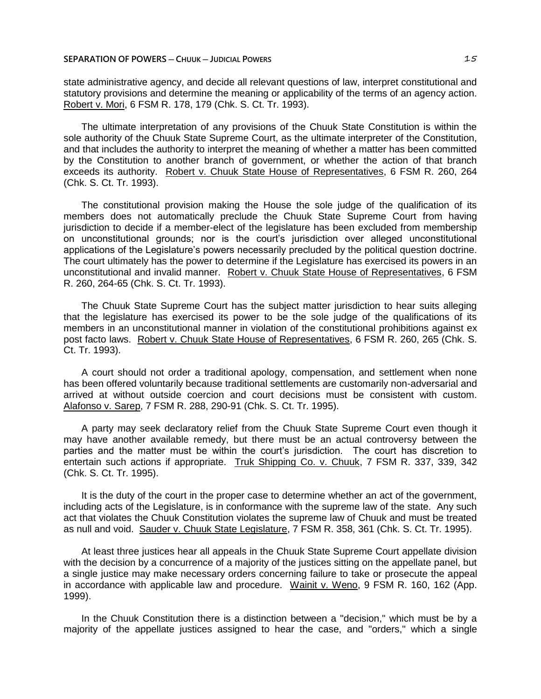## **SEPARATION OF POWERS ─ CHUUK ─ JUDICIAL POWERS** 15

state administrative agency, and decide all relevant questions of law, interpret constitutional and statutory provisions and determine the meaning or applicability of the terms of an agency action. Robert v. Mori, 6 FSM R. 178, 179 (Chk. S. Ct. Tr. 1993).

The ultimate interpretation of any provisions of the Chuuk State Constitution is within the sole authority of the Chuuk State Supreme Court, as the ultimate interpreter of the Constitution, and that includes the authority to interpret the meaning of whether a matter has been committed by the Constitution to another branch of government, or whether the action of that branch exceeds its authority. Robert v. Chuuk State House of Representatives, 6 FSM R. 260, 264 (Chk. S. Ct. Tr. 1993).

The constitutional provision making the House the sole judge of the qualification of its members does not automatically preclude the Chuuk State Supreme Court from having jurisdiction to decide if a member-elect of the legislature has been excluded from membership on unconstitutional grounds; nor is the court's jurisdiction over alleged unconstitutional applications of the Legislature's powers necessarily precluded by the political question doctrine. The court ultimately has the power to determine if the Legislature has exercised its powers in an unconstitutional and invalid manner. Robert v. Chuuk State House of Representatives, 6 FSM R. 260, 264-65 (Chk. S. Ct. Tr. 1993).

The Chuuk State Supreme Court has the subject matter jurisdiction to hear suits alleging that the legislature has exercised its power to be the sole judge of the qualifications of its members in an unconstitutional manner in violation of the constitutional prohibitions against ex post facto laws. Robert v. Chuuk State House of Representatives, 6 FSM R. 260, 265 (Chk. S. Ct. Tr. 1993).

A court should not order a traditional apology, compensation, and settlement when none has been offered voluntarily because traditional settlements are customarily non-adversarial and arrived at without outside coercion and court decisions must be consistent with custom. Alafonso v. Sarep, 7 FSM R. 288, 290-91 (Chk. S. Ct. Tr. 1995).

A party may seek declaratory relief from the Chuuk State Supreme Court even though it may have another available remedy, but there must be an actual controversy between the parties and the matter must be within the court's jurisdiction. The court has discretion to entertain such actions if appropriate. Truk Shipping Co. v. Chuuk, 7 FSM R. 337, 339, 342 (Chk. S. Ct. Tr. 1995).

It is the duty of the court in the proper case to determine whether an act of the government, including acts of the Legislature, is in conformance with the supreme law of the state. Any such act that violates the Chuuk Constitution violates the supreme law of Chuuk and must be treated as null and void. Sauder v. Chuuk State Legislature, 7 FSM R. 358, 361 (Chk. S. Ct. Tr. 1995).

At least three justices hear all appeals in the Chuuk State Supreme Court appellate division with the decision by a concurrence of a majority of the justices sitting on the appellate panel, but a single justice may make necessary orders concerning failure to take or prosecute the appeal in accordance with applicable law and procedure. Wainit v. Weno, 9 FSM R. 160, 162 (App. 1999).

In the Chuuk Constitution there is a distinction between a "decision," which must be by a majority of the appellate justices assigned to hear the case, and "orders," which a single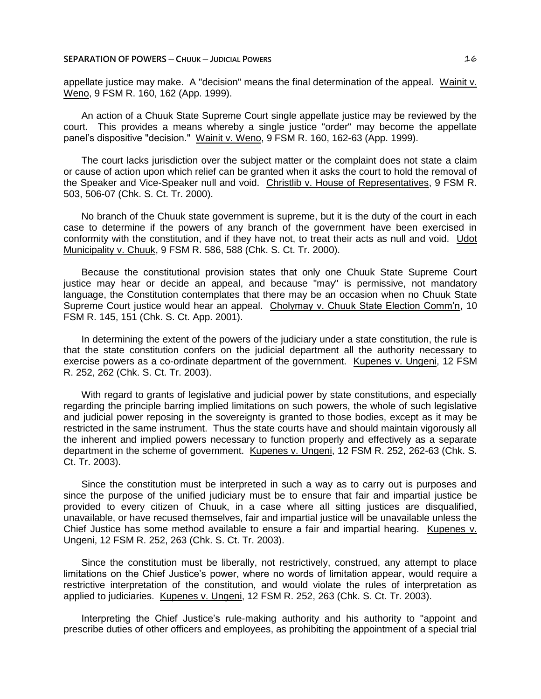appellate justice may make. A "decision" means the final determination of the appeal. Wainit v. Weno, 9 FSM R. 160, 162 (App. 1999).

An action of a Chuuk State Supreme Court single appellate justice may be reviewed by the court. This provides a means whereby a single justice "order" may become the appellate panel's dispositive "decision." Wainit v. Weno, 9 FSM R. 160, 162-63 (App. 1999).

The court lacks jurisdiction over the subject matter or the complaint does not state a claim or cause of action upon which relief can be granted when it asks the court to hold the removal of the Speaker and Vice-Speaker null and void. Christlib v. House of Representatives, 9 FSM R. 503, 506-07 (Chk. S. Ct. Tr. 2000).

No branch of the Chuuk state government is supreme, but it is the duty of the court in each case to determine if the powers of any branch of the government have been exercised in conformity with the constitution, and if they have not, to treat their acts as null and void. Udot Municipality v. Chuuk, 9 FSM R. 586, 588 (Chk. S. Ct. Tr. 2000).

Because the constitutional provision states that only one Chuuk State Supreme Court justice may hear or decide an appeal, and because "may" is permissive, not mandatory language, the Constitution contemplates that there may be an occasion when no Chuuk State Supreme Court justice would hear an appeal. Cholymay v. Chuuk State Election Comm'n, 10 FSM R. 145, 151 (Chk. S. Ct. App. 2001).

In determining the extent of the powers of the judiciary under a state constitution, the rule is that the state constitution confers on the judicial department all the authority necessary to exercise powers as a co-ordinate department of the government. Kupenes v. Ungeni, 12 FSM R. 252, 262 (Chk. S. Ct. Tr. 2003).

With regard to grants of legislative and judicial power by state constitutions, and especially regarding the principle barring implied limitations on such powers, the whole of such legislative and judicial power reposing in the sovereignty is granted to those bodies, except as it may be restricted in the same instrument. Thus the state courts have and should maintain vigorously all the inherent and implied powers necessary to function properly and effectively as a separate department in the scheme of government. Kupenes v. Ungeni, 12 FSM R. 252, 262-63 (Chk. S. Ct. Tr. 2003).

Since the constitution must be interpreted in such a way as to carry out is purposes and since the purpose of the unified judiciary must be to ensure that fair and impartial justice be provided to every citizen of Chuuk, in a case where all sitting justices are disqualified, unavailable, or have recused themselves, fair and impartial justice will be unavailable unless the Chief Justice has some method available to ensure a fair and impartial hearing. Kupenes v. Ungeni, 12 FSM R. 252, 263 (Chk. S. Ct. Tr. 2003).

Since the constitution must be liberally, not restrictively, construed, any attempt to place limitations on the Chief Justice's power, where no words of limitation appear, would require a restrictive interpretation of the constitution, and would violate the rules of interpretation as applied to judiciaries. Kupenes v. Ungeni, 12 FSM R. 252, 263 (Chk. S. Ct. Tr. 2003).

Interpreting the Chief Justice's rule-making authority and his authority to "appoint and prescribe duties of other officers and employees, as prohibiting the appointment of a special trial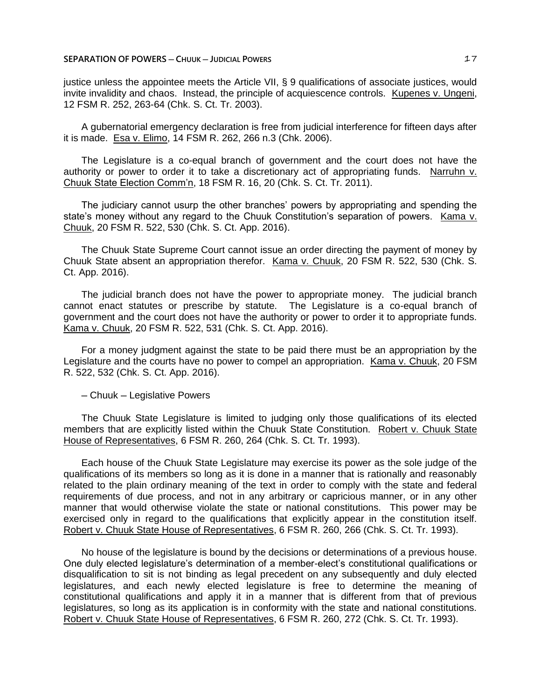## **SEPARATION OF POWERS ─ CHUUK ─ JUDICIAL POWERS** 17

justice unless the appointee meets the Article VII, § 9 qualifications of associate justices, would invite invalidity and chaos. Instead, the principle of acquiescence controls. Kupenes v. Ungeni, 12 FSM R. 252, 263-64 (Chk. S. Ct. Tr. 2003).

A gubernatorial emergency declaration is free from judicial interference for fifteen days after it is made. Esa v. Elimo, 14 FSM R. 262, 266 n.3 (Chk. 2006).

The Legislature is a co-equal branch of government and the court does not have the authority or power to order it to take a discretionary act of appropriating funds. Narruhn v. Chuuk State Election Comm'n, 18 FSM R. 16, 20 (Chk. S. Ct. Tr. 2011).

The judiciary cannot usurp the other branches' powers by appropriating and spending the state's money without any regard to the Chuuk Constitution's separation of powers. Kama v. Chuuk, 20 FSM R. 522, 530 (Chk. S. Ct. App. 2016).

The Chuuk State Supreme Court cannot issue an order directing the payment of money by Chuuk State absent an appropriation therefor. Kama v. Chuuk, 20 FSM R. 522, 530 (Chk. S. Ct. App. 2016).

The judicial branch does not have the power to appropriate money. The judicial branch cannot enact statutes or prescribe by statute. The Legislature is a co-equal branch of government and the court does not have the authority or power to order it to appropriate funds. Kama v. Chuuk, 20 FSM R. 522, 531 (Chk. S. Ct. App. 2016).

For a money judgment against the state to be paid there must be an appropriation by the Legislature and the courts have no power to compel an appropriation. Kama v. Chuuk, 20 FSM R. 522, 532 (Chk. S. Ct. App. 2016).

─ Chuuk ─ Legislative Powers

The Chuuk State Legislature is limited to judging only those qualifications of its elected members that are explicitly listed within the Chuuk State Constitution. Robert v. Chuuk State House of Representatives, 6 FSM R. 260, 264 (Chk. S. Ct. Tr. 1993).

Each house of the Chuuk State Legislature may exercise its power as the sole judge of the qualifications of its members so long as it is done in a manner that is rationally and reasonably related to the plain ordinary meaning of the text in order to comply with the state and federal requirements of due process, and not in any arbitrary or capricious manner, or in any other manner that would otherwise violate the state or national constitutions. This power may be exercised only in regard to the qualifications that explicitly appear in the constitution itself. Robert v. Chuuk State House of Representatives, 6 FSM R. 260, 266 (Chk. S. Ct. Tr. 1993).

No house of the legislature is bound by the decisions or determinations of a previous house. One duly elected legislature's determination of a member-elect's constitutional qualifications or disqualification to sit is not binding as legal precedent on any subsequently and duly elected legislatures, and each newly elected legislature is free to determine the meaning of constitutional qualifications and apply it in a manner that is different from that of previous legislatures, so long as its application is in conformity with the state and national constitutions. Robert v. Chuuk State House of Representatives, 6 FSM R. 260, 272 (Chk. S. Ct. Tr. 1993).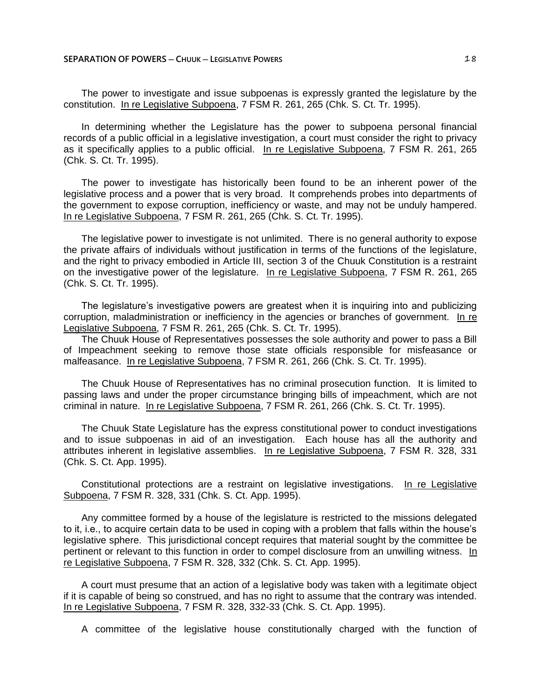The power to investigate and issue subpoenas is expressly granted the legislature by the constitution. In re Legislative Subpoena, 7 FSM R. 261, 265 (Chk. S. Ct. Tr. 1995).

In determining whether the Legislature has the power to subpoena personal financial records of a public official in a legislative investigation, a court must consider the right to privacy as it specifically applies to a public official. In re Legislative Subpoena, 7 FSM R. 261, 265 (Chk. S. Ct. Tr. 1995).

The power to investigate has historically been found to be an inherent power of the legislative process and a power that is very broad. It comprehends probes into departments of the government to expose corruption, inefficiency or waste, and may not be unduly hampered. In re Legislative Subpoena, 7 FSM R. 261, 265 (Chk. S. Ct. Tr. 1995).

The legislative power to investigate is not unlimited. There is no general authority to expose the private affairs of individuals without justification in terms of the functions of the legislature, and the right to privacy embodied in Article III, section 3 of the Chuuk Constitution is a restraint on the investigative power of the legislature. In re Legislative Subpoena, 7 FSM R. 261, 265 (Chk. S. Ct. Tr. 1995).

The legislature's investigative powers are greatest when it is inquiring into and publicizing corruption, maladministration or inefficiency in the agencies or branches of government. In re Legislative Subpoena, 7 FSM R. 261, 265 (Chk. S. Ct. Tr. 1995).

The Chuuk House of Representatives possesses the sole authority and power to pass a Bill of Impeachment seeking to remove those state officials responsible for misfeasance or malfeasance. In re Legislative Subpoena, 7 FSM R. 261, 266 (Chk. S. Ct. Tr. 1995).

The Chuuk House of Representatives has no criminal prosecution function. It is limited to passing laws and under the proper circumstance bringing bills of impeachment, which are not criminal in nature. In re Legislative Subpoena, 7 FSM R. 261, 266 (Chk. S. Ct. Tr. 1995).

The Chuuk State Legislature has the express constitutional power to conduct investigations and to issue subpoenas in aid of an investigation. Each house has all the authority and attributes inherent in legislative assemblies. In re Legislative Subpoena, 7 FSM R. 328, 331 (Chk. S. Ct. App. 1995).

Constitutional protections are a restraint on legislative investigations. In re Legislative Subpoena, 7 FSM R. 328, 331 (Chk. S. Ct. App. 1995).

Any committee formed by a house of the legislature is restricted to the missions delegated to it, i.e., to acquire certain data to be used in coping with a problem that falls within the house's legislative sphere. This jurisdictional concept requires that material sought by the committee be pertinent or relevant to this function in order to compel disclosure from an unwilling witness. In re Legislative Subpoena, 7 FSM R. 328, 332 (Chk. S. Ct. App. 1995).

A court must presume that an action of a legislative body was taken with a legitimate object if it is capable of being so construed, and has no right to assume that the contrary was intended. In re Legislative Subpoena, 7 FSM R. 328, 332-33 (Chk. S. Ct. App. 1995).

A committee of the legislative house constitutionally charged with the function of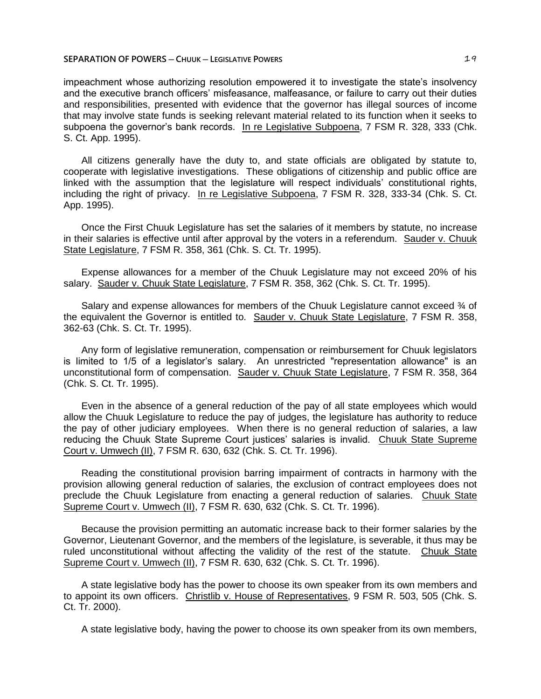impeachment whose authorizing resolution empowered it to investigate the state's insolvency and the executive branch officers' misfeasance, malfeasance, or failure to carry out their duties and responsibilities, presented with evidence that the governor has illegal sources of income that may involve state funds is seeking relevant material related to its function when it seeks to subpoena the governor's bank records. In re Legislative Subpoena, 7 FSM R. 328, 333 (Chk. S. Ct. App. 1995).

All citizens generally have the duty to, and state officials are obligated by statute to, cooperate with legislative investigations. These obligations of citizenship and public office are linked with the assumption that the legislature will respect individuals' constitutional rights, including the right of privacy. In re Legislative Subpoena, 7 FSM R. 328, 333-34 (Chk. S. Ct. App. 1995).

Once the First Chuuk Legislature has set the salaries of it members by statute, no increase in their salaries is effective until after approval by the voters in a referendum. Sauder v. Chuuk State Legislature, 7 FSM R. 358, 361 (Chk. S. Ct. Tr. 1995).

Expense allowances for a member of the Chuuk Legislature may not exceed 20% of his salary. Sauder v. Chuuk State Legislature, 7 FSM R. 358, 362 (Chk. S. Ct. Tr. 1995).

Salary and expense allowances for members of the Chuuk Legislature cannot exceed 3⁄4 of the equivalent the Governor is entitled to. Sauder v. Chuuk State Legislature, 7 FSM R. 358, 362-63 (Chk. S. Ct. Tr. 1995).

Any form of legislative remuneration, compensation or reimbursement for Chuuk legislators is limited to 1/5 of a legislator's salary. An unrestricted "representation allowance" is an unconstitutional form of compensation. Sauder v. Chuuk State Legislature, 7 FSM R. 358, 364 (Chk. S. Ct. Tr. 1995).

Even in the absence of a general reduction of the pay of all state employees which would allow the Chuuk Legislature to reduce the pay of judges, the legislature has authority to reduce the pay of other judiciary employees. When there is no general reduction of salaries, a law reducing the Chuuk State Supreme Court justices' salaries is invalid. Chuuk State Supreme Court v. Umwech (II), 7 FSM R. 630, 632 (Chk. S. Ct. Tr. 1996).

Reading the constitutional provision barring impairment of contracts in harmony with the provision allowing general reduction of salaries, the exclusion of contract employees does not preclude the Chuuk Legislature from enacting a general reduction of salaries. Chuuk State Supreme Court v. Umwech (II), 7 FSM R. 630, 632 (Chk. S. Ct. Tr. 1996).

Because the provision permitting an automatic increase back to their former salaries by the Governor, Lieutenant Governor, and the members of the legislature, is severable, it thus may be ruled unconstitutional without affecting the validity of the rest of the statute. Chuuk State Supreme Court v. Umwech (II), 7 FSM R. 630, 632 (Chk. S. Ct. Tr. 1996).

A state legislative body has the power to choose its own speaker from its own members and to appoint its own officers. Christlib v. House of Representatives, 9 FSM R. 503, 505 (Chk. S. Ct. Tr. 2000).

A state legislative body, having the power to choose its own speaker from its own members,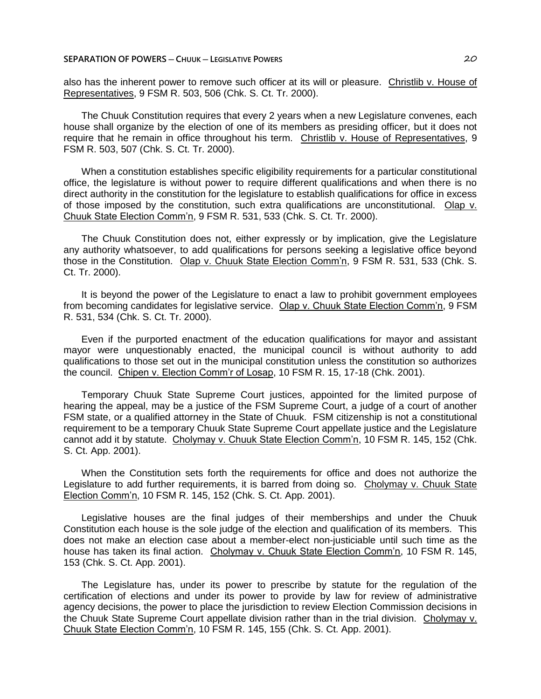also has the inherent power to remove such officer at its will or pleasure. Christlib v. House of Representatives, 9 FSM R. 503, 506 (Chk. S. Ct. Tr. 2000).

The Chuuk Constitution requires that every 2 years when a new Legislature convenes, each house shall organize by the election of one of its members as presiding officer, but it does not require that he remain in office throughout his term. Christlib v. House of Representatives, 9 FSM R. 503, 507 (Chk. S. Ct. Tr. 2000).

When a constitution establishes specific eligibility requirements for a particular constitutional office, the legislature is without power to require different qualifications and when there is no direct authority in the constitution for the legislature to establish qualifications for office in excess of those imposed by the constitution, such extra qualifications are unconstitutional. Olap v. Chuuk State Election Comm'n, 9 FSM R. 531, 533 (Chk. S. Ct. Tr. 2000).

The Chuuk Constitution does not, either expressly or by implication, give the Legislature any authority whatsoever, to add qualifications for persons seeking a legislative office beyond those in the Constitution. Olap v. Chuuk State Election Comm'n, 9 FSM R. 531, 533 (Chk. S. Ct. Tr. 2000).

It is beyond the power of the Legislature to enact a law to prohibit government employees from becoming candidates for legislative service. Olap v. Chuuk State Election Comm'n, 9 FSM R. 531, 534 (Chk. S. Ct. Tr. 2000).

Even if the purported enactment of the education qualifications for mayor and assistant mayor were unquestionably enacted, the municipal council is without authority to add qualifications to those set out in the municipal constitution unless the constitution so authorizes the council. Chipen v. Election Comm'r of Losap, 10 FSM R. 15, 17-18 (Chk. 2001).

Temporary Chuuk State Supreme Court justices, appointed for the limited purpose of hearing the appeal, may be a justice of the FSM Supreme Court, a judge of a court of another FSM state, or a qualified attorney in the State of Chuuk. FSM citizenship is not a constitutional requirement to be a temporary Chuuk State Supreme Court appellate justice and the Legislature cannot add it by statute. Cholymay v. Chuuk State Election Comm'n, 10 FSM R. 145, 152 (Chk. S. Ct. App. 2001).

When the Constitution sets forth the requirements for office and does not authorize the Legislature to add further requirements, it is barred from doing so. Cholymay v. Chuuk State Election Comm'n, 10 FSM R. 145, 152 (Chk. S. Ct. App. 2001).

Legislative houses are the final judges of their memberships and under the Chuuk Constitution each house is the sole judge of the election and qualification of its members. This does not make an election case about a member-elect non-justiciable until such time as the house has taken its final action. Cholymay v. Chuuk State Election Comm'n, 10 FSM R. 145, 153 (Chk. S. Ct. App. 2001).

The Legislature has, under its power to prescribe by statute for the regulation of the certification of elections and under its power to provide by law for review of administrative agency decisions, the power to place the jurisdiction to review Election Commission decisions in the Chuuk State Supreme Court appellate division rather than in the trial division. Cholymay v. Chuuk State Election Comm'n, 10 FSM R. 145, 155 (Chk. S. Ct. App. 2001).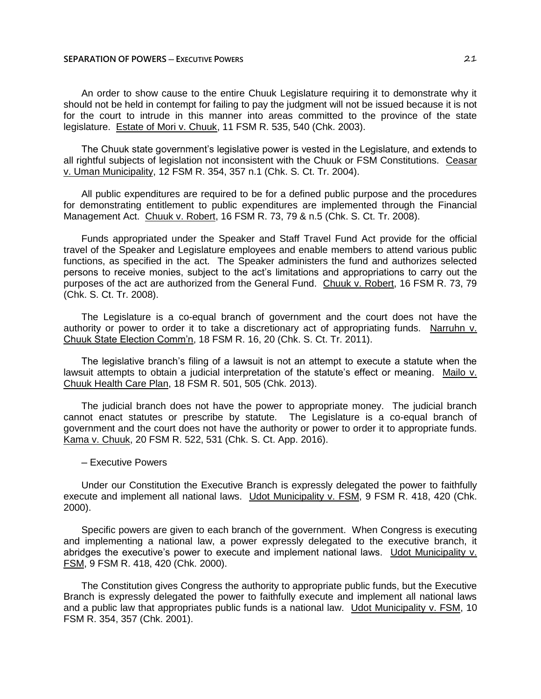## **SEPARATION OF POWERS ─ EXECUTIVE POWERS** 21

An order to show cause to the entire Chuuk Legislature requiring it to demonstrate why it should not be held in contempt for failing to pay the judgment will not be issued because it is not for the court to intrude in this manner into areas committed to the province of the state legislature. Estate of Mori v. Chuuk, 11 FSM R. 535, 540 (Chk. 2003).

The Chuuk state government's legislative power is vested in the Legislature, and extends to all rightful subjects of legislation not inconsistent with the Chuuk or FSM Constitutions. Ceasar v. Uman Municipality, 12 FSM R. 354, 357 n.1 (Chk. S. Ct. Tr. 2004).

All public expenditures are required to be for a defined public purpose and the procedures for demonstrating entitlement to public expenditures are implemented through the Financial Management Act. Chuuk v. Robert, 16 FSM R. 73, 79 & n.5 (Chk. S. Ct. Tr. 2008).

Funds appropriated under the Speaker and Staff Travel Fund Act provide for the official travel of the Speaker and Legislature employees and enable members to attend various public functions, as specified in the act. The Speaker administers the fund and authorizes selected persons to receive monies, subject to the act's limitations and appropriations to carry out the purposes of the act are authorized from the General Fund. Chuuk v. Robert, 16 FSM R. 73, 79 (Chk. S. Ct. Tr. 2008).

The Legislature is a co-equal branch of government and the court does not have the authority or power to order it to take a discretionary act of appropriating funds. Narruhn v. Chuuk State Election Comm'n, 18 FSM R. 16, 20 (Chk. S. Ct. Tr. 2011).

The legislative branch's filing of a lawsuit is not an attempt to execute a statute when the lawsuit attempts to obtain a judicial interpretation of the statute's effect or meaning. Mailo v. Chuuk Health Care Plan, 18 FSM R. 501, 505 (Chk. 2013).

The judicial branch does not have the power to appropriate money. The judicial branch cannot enact statutes or prescribe by statute. The Legislature is a co-equal branch of government and the court does not have the authority or power to order it to appropriate funds. Kama v. Chuuk, 20 FSM R. 522, 531 (Chk. S. Ct. App. 2016).

─ Executive Powers

Under our Constitution the Executive Branch is expressly delegated the power to faithfully execute and implement all national laws. Udot Municipality v. FSM, 9 FSM R. 418, 420 (Chk. 2000).

Specific powers are given to each branch of the government. When Congress is executing and implementing a national law, a power expressly delegated to the executive branch, it abridges the executive's power to execute and implement national laws. Udot Municipality v. FSM, 9 FSM R. 418, 420 (Chk. 2000).

The Constitution gives Congress the authority to appropriate public funds, but the Executive Branch is expressly delegated the power to faithfully execute and implement all national laws and a public law that appropriates public funds is a national law. Udot Municipality v. FSM, 10 FSM R. 354, 357 (Chk. 2001).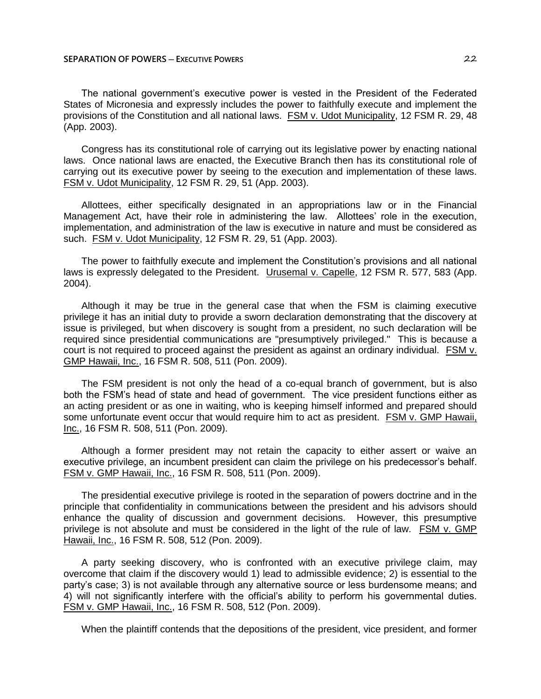The national government's executive power is vested in the President of the Federated States of Micronesia and expressly includes the power to faithfully execute and implement the provisions of the Constitution and all national laws. FSM v. Udot Municipality, 12 FSM R. 29, 48 (App. 2003).

Congress has its constitutional role of carrying out its legislative power by enacting national laws. Once national laws are enacted, the Executive Branch then has its constitutional role of carrying out its executive power by seeing to the execution and implementation of these laws. FSM v. Udot Municipality, 12 FSM R. 29, 51 (App. 2003).

Allottees, either specifically designated in an appropriations law or in the Financial Management Act, have their role in administering the law. Allottees' role in the execution, implementation, and administration of the law is executive in nature and must be considered as such. FSM v. Udot Municipality, 12 FSM R. 29, 51 (App. 2003).

The power to faithfully execute and implement the Constitution's provisions and all national laws is expressly delegated to the President. Urusemal v. Capelle, 12 FSM R. 577, 583 (App. 2004).

Although it may be true in the general case that when the FSM is claiming executive privilege it has an initial duty to provide a sworn declaration demonstrating that the discovery at issue is privileged, but when discovery is sought from a president, no such declaration will be required since presidential communications are "presumptively privileged." This is because a court is not required to proceed against the president as against an ordinary individual. FSM v. GMP Hawaii, Inc., 16 FSM R. 508, 511 (Pon. 2009).

The FSM president is not only the head of a co-equal branch of government, but is also both the FSM's head of state and head of government. The vice president functions either as an acting president or as one in waiting, who is keeping himself informed and prepared should some unfortunate event occur that would require him to act as president. FSM v. GMP Hawaii, Inc., 16 FSM R. 508, 511 (Pon. 2009).

Although a former president may not retain the capacity to either assert or waive an executive privilege, an incumbent president can claim the privilege on his predecessor's behalf. FSM v. GMP Hawaii, Inc., 16 FSM R. 508, 511 (Pon. 2009).

The presidential executive privilege is rooted in the separation of powers doctrine and in the principle that confidentiality in communications between the president and his advisors should enhance the quality of discussion and government decisions. However, this presumptive privilege is not absolute and must be considered in the light of the rule of law. FSM v. GMP Hawaii, Inc., 16 FSM R. 508, 512 (Pon. 2009).

A party seeking discovery, who is confronted with an executive privilege claim, may overcome that claim if the discovery would 1) lead to admissible evidence; 2) is essential to the party's case; 3) is not available through any alternative source or less burdensome means; and 4) will not significantly interfere with the official's ability to perform his governmental duties. FSM v. GMP Hawaii, Inc., 16 FSM R. 508, 512 (Pon. 2009).

When the plaintiff contends that the depositions of the president, vice president, and former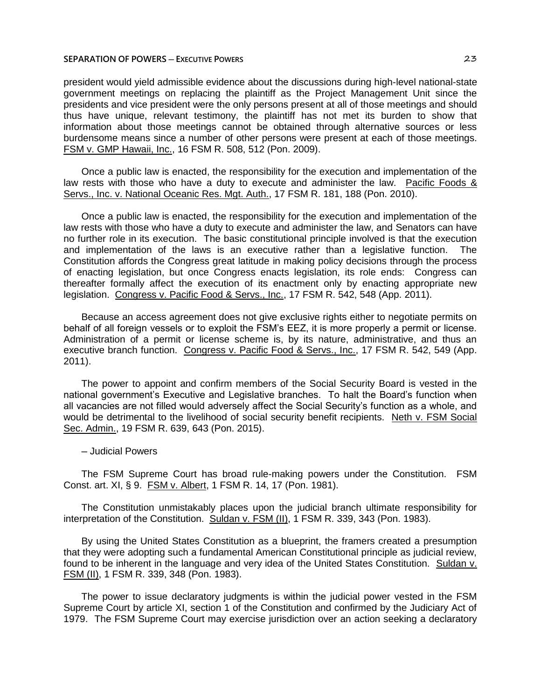## **SEPARATION OF POWERS ─ EXECUTIVE POWERS** 23

president would yield admissible evidence about the discussions during high-level national-state government meetings on replacing the plaintiff as the Project Management Unit since the presidents and vice president were the only persons present at all of those meetings and should thus have unique, relevant testimony, the plaintiff has not met its burden to show that information about those meetings cannot be obtained through alternative sources or less burdensome means since a number of other persons were present at each of those meetings. FSM v. GMP Hawaii, Inc., 16 FSM R. 508, 512 (Pon. 2009).

Once a public law is enacted, the responsibility for the execution and implementation of the law rests with those who have a duty to execute and administer the law. Pacific Foods & Servs., Inc. v. National Oceanic Res. Mgt. Auth., 17 FSM R. 181, 188 (Pon. 2010).

Once a public law is enacted, the responsibility for the execution and implementation of the law rests with those who have a duty to execute and administer the law, and Senators can have no further role in its execution. The basic constitutional principle involved is that the execution and implementation of the laws is an executive rather than a legislative function. The Constitution affords the Congress great latitude in making policy decisions through the process of enacting legislation, but once Congress enacts legislation, its role ends: Congress can thereafter formally affect the execution of its enactment only by enacting appropriate new legislation. Congress v. Pacific Food & Servs., Inc., 17 FSM R. 542, 548 (App. 2011).

Because an access agreement does not give exclusive rights either to negotiate permits on behalf of all foreign vessels or to exploit the FSM's EEZ, it is more properly a permit or license. Administration of a permit or license scheme is, by its nature, administrative, and thus an executive branch function. Congress v. Pacific Food & Servs., Inc., 17 FSM R. 542, 549 (App. 2011).

The power to appoint and confirm members of the Social Security Board is vested in the national government's Executive and Legislative branches. To halt the Board's function when all vacancies are not filled would adversely affect the Social Security's function as a whole, and would be detrimental to the livelihood of social security benefit recipients. Neth v. FSM Social Sec. Admin., 19 FSM R. 639, 643 (Pon. 2015).

─ Judicial Powers

The FSM Supreme Court has broad rule-making powers under the Constitution. FSM Const. art. XI, § 9. FSM v. Albert, 1 FSM R. 14, 17 (Pon. 1981).

The Constitution unmistakably places upon the judicial branch ultimate responsibility for interpretation of the Constitution. Suldan v. FSM (II), 1 FSM R. 339, 343 (Pon. 1983).

By using the United States Constitution as a blueprint, the framers created a presumption that they were adopting such a fundamental American Constitutional principle as judicial review, found to be inherent in the language and very idea of the United States Constitution. Suldan v. FSM (II), 1 FSM R. 339, 348 (Pon. 1983).

The power to issue declaratory judgments is within the judicial power vested in the FSM Supreme Court by article XI, section 1 of the Constitution and confirmed by the Judiciary Act of 1979. The FSM Supreme Court may exercise jurisdiction over an action seeking a declaratory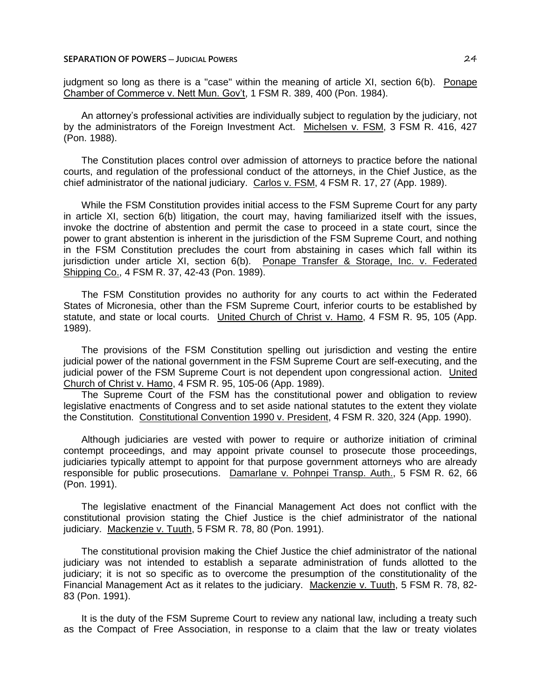judgment so long as there is a "case" within the meaning of article XI, section 6(b). Ponape Chamber of Commerce v. Nett Mun. Gov't, 1 FSM R. 389, 400 (Pon. 1984).

An attorney's professional activities are individually subject to regulation by the judiciary, not by the administrators of the Foreign Investment Act. Michelsen v. FSM, 3 FSM R. 416, 427 (Pon. 1988).

The Constitution places control over admission of attorneys to practice before the national courts, and regulation of the professional conduct of the attorneys, in the Chief Justice, as the chief administrator of the national judiciary. Carlos v. FSM, 4 FSM R. 17, 27 (App. 1989).

While the FSM Constitution provides initial access to the FSM Supreme Court for any party in article XI, section 6(b) litigation, the court may, having familiarized itself with the issues, invoke the doctrine of abstention and permit the case to proceed in a state court, since the power to grant abstention is inherent in the jurisdiction of the FSM Supreme Court, and nothing in the FSM Constitution precludes the court from abstaining in cases which fall within its jurisdiction under article XI, section 6(b). Ponape Transfer & Storage, Inc. v. Federated Shipping Co., 4 FSM R. 37, 42-43 (Pon. 1989).

The FSM Constitution provides no authority for any courts to act within the Federated States of Micronesia, other than the FSM Supreme Court, inferior courts to be established by statute, and state or local courts. United Church of Christ v. Hamo, 4 FSM R. 95, 105 (App. 1989).

The provisions of the FSM Constitution spelling out jurisdiction and vesting the entire judicial power of the national government in the FSM Supreme Court are self-executing, and the judicial power of the FSM Supreme Court is not dependent upon congressional action. United Church of Christ v. Hamo, 4 FSM R. 95, 105-06 (App. 1989).

The Supreme Court of the FSM has the constitutional power and obligation to review legislative enactments of Congress and to set aside national statutes to the extent they violate the Constitution. Constitutional Convention 1990 v. President, 4 FSM R. 320, 324 (App. 1990).

Although judiciaries are vested with power to require or authorize initiation of criminal contempt proceedings, and may appoint private counsel to prosecute those proceedings, judiciaries typically attempt to appoint for that purpose government attorneys who are already responsible for public prosecutions. Damarlane v. Pohnpei Transp. Auth., 5 FSM R. 62, 66 (Pon. 1991).

The legislative enactment of the Financial Management Act does not conflict with the constitutional provision stating the Chief Justice is the chief administrator of the national judiciary. Mackenzie v. Tuuth, 5 FSM R. 78, 80 (Pon. 1991).

The constitutional provision making the Chief Justice the chief administrator of the national judiciary was not intended to establish a separate administration of funds allotted to the judiciary; it is not so specific as to overcome the presumption of the constitutionality of the Financial Management Act as it relates to the judiciary. Mackenzie v. Tuuth, 5 FSM R. 78, 82- 83 (Pon. 1991).

It is the duty of the FSM Supreme Court to review any national law, including a treaty such as the Compact of Free Association, in response to a claim that the law or treaty violates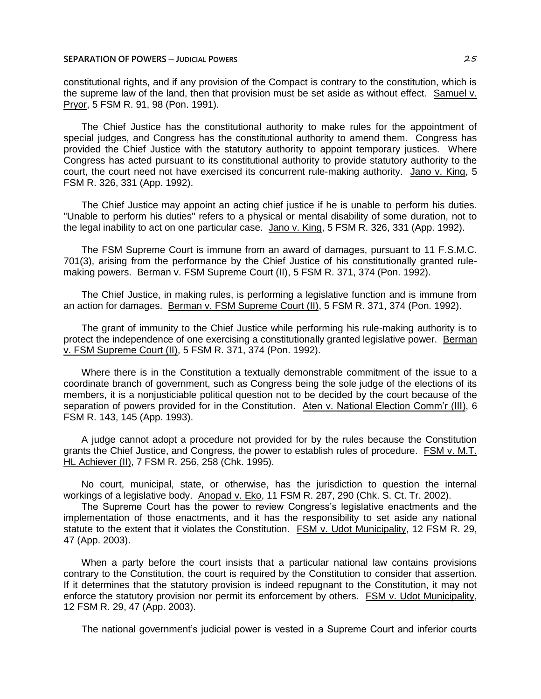#### **SEPARATION OF POWERS ─ JUDICIAL POWERS** 25

constitutional rights, and if any provision of the Compact is contrary to the constitution, which is the supreme law of the land, then that provision must be set aside as without effect. Samuel v. Pryor, 5 FSM R. 91, 98 (Pon. 1991).

The Chief Justice has the constitutional authority to make rules for the appointment of special judges, and Congress has the constitutional authority to amend them. Congress has provided the Chief Justice with the statutory authority to appoint temporary justices. Where Congress has acted pursuant to its constitutional authority to provide statutory authority to the court, the court need not have exercised its concurrent rule-making authority. Jano v. King, 5 FSM R. 326, 331 (App. 1992).

The Chief Justice may appoint an acting chief justice if he is unable to perform his duties. "Unable to perform his duties" refers to a physical or mental disability of some duration, not to the legal inability to act on one particular case. Jano v. King, 5 FSM R. 326, 331 (App. 1992).

The FSM Supreme Court is immune from an award of damages, pursuant to 11 F.S.M.C. 701(3), arising from the performance by the Chief Justice of his constitutionally granted rulemaking powers. Berman v. FSM Supreme Court (II), 5 FSM R. 371, 374 (Pon. 1992).

The Chief Justice, in making rules, is performing a legislative function and is immune from an action for damages. Berman v. FSM Supreme Court (II), 5 FSM R. 371, 374 (Pon. 1992).

The grant of immunity to the Chief Justice while performing his rule-making authority is to protect the independence of one exercising a constitutionally granted legislative power. Berman v. FSM Supreme Court (II), 5 FSM R. 371, 374 (Pon. 1992).

Where there is in the Constitution a textually demonstrable commitment of the issue to a coordinate branch of government, such as Congress being the sole judge of the elections of its members, it is a nonjusticiable political question not to be decided by the court because of the separation of powers provided for in the Constitution. Aten v. National Election Comm'r (III), 6 FSM R. 143, 145 (App. 1993).

A judge cannot adopt a procedure not provided for by the rules because the Constitution grants the Chief Justice, and Congress, the power to establish rules of procedure. FSM v. M.T. HL Achiever (II), 7 FSM R. 256, 258 (Chk. 1995).

No court, municipal, state, or otherwise, has the jurisdiction to question the internal workings of a legislative body. Anopad v. Eko, 11 FSM R. 287, 290 (Chk. S. Ct. Tr. 2002).

The Supreme Court has the power to review Congress's legislative enactments and the implementation of those enactments, and it has the responsibility to set aside any national statute to the extent that it violates the Constitution. FSM v. Udot Municipality, 12 FSM R. 29, 47 (App. 2003).

When a party before the court insists that a particular national law contains provisions contrary to the Constitution, the court is required by the Constitution to consider that assertion. If it determines that the statutory provision is indeed repugnant to the Constitution, it may not enforce the statutory provision nor permit its enforcement by others. FSM v. Udot Municipality, 12 FSM R. 29, 47 (App. 2003).

The national government's judicial power is vested in a Supreme Court and inferior courts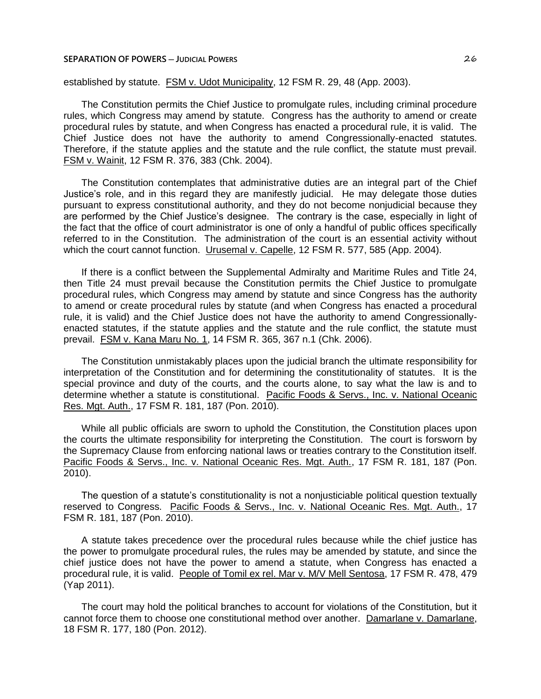## **SEPARATION OF POWERS ─ JUDICIAL POWERS** 26

established by statute. FSM v. Udot Municipality, 12 FSM R. 29, 48 (App. 2003).

The Constitution permits the Chief Justice to promulgate rules, including criminal procedure rules, which Congress may amend by statute. Congress has the authority to amend or create procedural rules by statute, and when Congress has enacted a procedural rule, it is valid. The Chief Justice does not have the authority to amend Congressionally-enacted statutes. Therefore, if the statute applies and the statute and the rule conflict, the statute must prevail. FSM v. Wainit, 12 FSM R. 376, 383 (Chk. 2004).

The Constitution contemplates that administrative duties are an integral part of the Chief Justice's role, and in this regard they are manifestly judicial. He may delegate those duties pursuant to express constitutional authority, and they do not become nonjudicial because they are performed by the Chief Justice's designee. The contrary is the case, especially in light of the fact that the office of court administrator is one of only a handful of public offices specifically referred to in the Constitution. The administration of the court is an essential activity without which the court cannot function. Urusemal v. Capelle, 12 FSM R. 577, 585 (App. 2004).

If there is a conflict between the Supplemental Admiralty and Maritime Rules and Title 24, then Title 24 must prevail because the Constitution permits the Chief Justice to promulgate procedural rules, which Congress may amend by statute and since Congress has the authority to amend or create procedural rules by statute (and when Congress has enacted a procedural rule, it is valid) and the Chief Justice does not have the authority to amend Congressionallyenacted statutes, if the statute applies and the statute and the rule conflict, the statute must prevail. FSM v. Kana Maru No. 1, 14 FSM R. 365, 367 n.1 (Chk. 2006).

The Constitution unmistakably places upon the judicial branch the ultimate responsibility for interpretation of the Constitution and for determining the constitutionality of statutes. It is the special province and duty of the courts, and the courts alone, to say what the law is and to determine whether a statute is constitutional. Pacific Foods & Servs., Inc. v. National Oceanic Res. Mgt. Auth., 17 FSM R. 181, 187 (Pon. 2010).

While all public officials are sworn to uphold the Constitution, the Constitution places upon the courts the ultimate responsibility for interpreting the Constitution. The court is forsworn by the Supremacy Clause from enforcing national laws or treaties contrary to the Constitution itself. Pacific Foods & Servs., Inc. v. National Oceanic Res. Mgt. Auth., 17 FSM R. 181, 187 (Pon. 2010).

The question of a statute's constitutionality is not a nonjusticiable political question textually reserved to Congress. Pacific Foods & Servs., Inc. v. National Oceanic Res. Mgt. Auth., 17 FSM R. 181, 187 (Pon. 2010).

A statute takes precedence over the procedural rules because while the chief justice has the power to promulgate procedural rules, the rules may be amended by statute, and since the chief justice does not have the power to amend a statute, when Congress has enacted a procedural rule, it is valid. People of Tomil ex rel. Mar v. M/V Mell Sentosa, 17 FSM R. 478, 479 (Yap 2011).

The court may hold the political branches to account for violations of the Constitution, but it cannot force them to choose one constitutional method over another. Damarlane v. Damarlane, 18 FSM R. 177, 180 (Pon. 2012).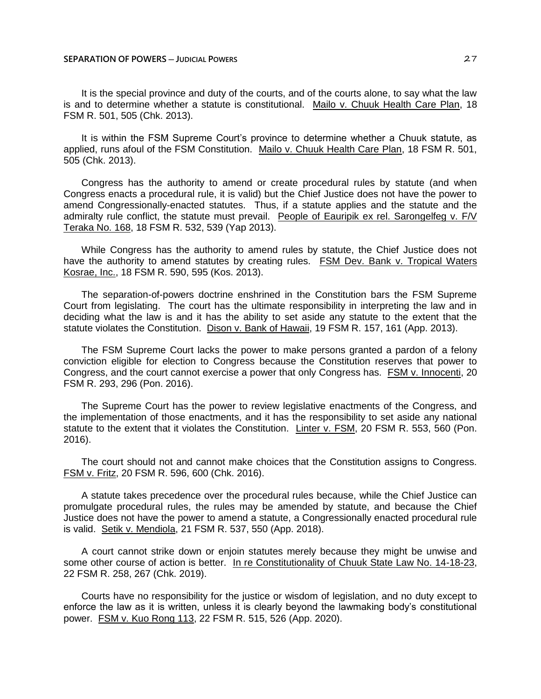It is the special province and duty of the courts, and of the courts alone, to say what the law is and to determine whether a statute is constitutional. Mailo v. Chuuk Health Care Plan, 18 FSM R. 501, 505 (Chk. 2013).

It is within the FSM Supreme Court's province to determine whether a Chuuk statute, as applied, runs afoul of the FSM Constitution. Mailo v. Chuuk Health Care Plan, 18 FSM R. 501, 505 (Chk. 2013).

Congress has the authority to amend or create procedural rules by statute (and when Congress enacts a procedural rule, it is valid) but the Chief Justice does not have the power to amend Congressionally-enacted statutes. Thus, if a statute applies and the statute and the admiralty rule conflict, the statute must prevail. People of Eauripik ex rel. Sarongelfeg v. F/V Teraka No. 168, 18 FSM R. 532, 539 (Yap 2013).

While Congress has the authority to amend rules by statute, the Chief Justice does not have the authority to amend statutes by creating rules. FSM Dev. Bank v. Tropical Waters Kosrae, Inc., 18 FSM R. 590, 595 (Kos. 2013).

The separation-of-powers doctrine enshrined in the Constitution bars the FSM Supreme Court from legislating. The court has the ultimate responsibility in interpreting the law and in deciding what the law is and it has the ability to set aside any statute to the extent that the statute violates the Constitution. Dison v. Bank of Hawaii, 19 FSM R. 157, 161 (App. 2013).

The FSM Supreme Court lacks the power to make persons granted a pardon of a felony conviction eligible for election to Congress because the Constitution reserves that power to Congress, and the court cannot exercise a power that only Congress has. FSM v. Innocenti, 20 FSM R. 293, 296 (Pon. 2016).

The Supreme Court has the power to review legislative enactments of the Congress, and the implementation of those enactments, and it has the responsibility to set aside any national statute to the extent that it violates the Constitution. Linter v. FSM, 20 FSM R. 553, 560 (Pon. 2016).

The court should not and cannot make choices that the Constitution assigns to Congress. FSM v. Fritz, 20 FSM R. 596, 600 (Chk. 2016).

A statute takes precedence over the procedural rules because, while the Chief Justice can promulgate procedural rules, the rules may be amended by statute, and because the Chief Justice does not have the power to amend a statute, a Congressionally enacted procedural rule is valid. Setik v. Mendiola, 21 FSM R. 537, 550 (App. 2018).

A court cannot strike down or enjoin statutes merely because they might be unwise and some other course of action is better. In re Constitutionality of Chuuk State Law No. 14-18-23, 22 FSM R. 258, 267 (Chk. 2019).

Courts have no responsibility for the justice or wisdom of legislation, and no duty except to enforce the law as it is written, unless it is clearly beyond the lawmaking body's constitutional power. FSM v. Kuo Rong 113, 22 FSM R. 515, 526 (App. 2020).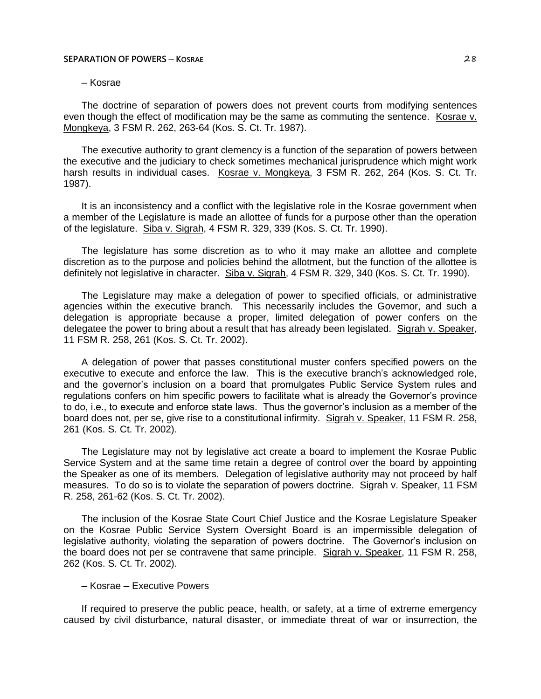#### **SEPARATION OF POWERS ─ KOSRAE** 28

# ─ Kosrae

The doctrine of separation of powers does not prevent courts from modifying sentences even though the effect of modification may be the same as commuting the sentence. Kosrae v. Mongkeya, 3 FSM R. 262, 263-64 (Kos. S. Ct. Tr. 1987).

The executive authority to grant clemency is a function of the separation of powers between the executive and the judiciary to check sometimes mechanical jurisprudence which might work harsh results in individual cases. Kosrae v. Mongkeya, 3 FSM R. 262, 264 (Kos. S. Ct. Tr. 1987).

It is an inconsistency and a conflict with the legislative role in the Kosrae government when a member of the Legislature is made an allottee of funds for a purpose other than the operation of the legislature. Siba v. Sigrah, 4 FSM R. 329, 339 (Kos. S. Ct. Tr. 1990).

The legislature has some discretion as to who it may make an allottee and complete discretion as to the purpose and policies behind the allotment, but the function of the allottee is definitely not legislative in character. Siba v. Sigrah, 4 FSM R. 329, 340 (Kos. S. Ct. Tr. 1990).

The Legislature may make a delegation of power to specified officials, or administrative agencies within the executive branch. This necessarily includes the Governor, and such a delegation is appropriate because a proper, limited delegation of power confers on the delegatee the power to bring about a result that has already been legislated. Sigrah v. Speaker, 11 FSM R. 258, 261 (Kos. S. Ct. Tr. 2002).

A delegation of power that passes constitutional muster confers specified powers on the executive to execute and enforce the law. This is the executive branch's acknowledged role, and the governor's inclusion on a board that promulgates Public Service System rules and regulations confers on him specific powers to facilitate what is already the Governor's province to do, i.e., to execute and enforce state laws. Thus the governor's inclusion as a member of the board does not, per se, give rise to a constitutional infirmity. Sigrah v. Speaker, 11 FSM R. 258, 261 (Kos. S. Ct. Tr. 2002).

The Legislature may not by legislative act create a board to implement the Kosrae Public Service System and at the same time retain a degree of control over the board by appointing the Speaker as one of its members. Delegation of legislative authority may not proceed by half measures. To do so is to violate the separation of powers doctrine. Sigrah v. Speaker, 11 FSM R. 258, 261-62 (Kos. S. Ct. Tr. 2002).

The inclusion of the Kosrae State Court Chief Justice and the Kosrae Legislature Speaker on the Kosrae Public Service System Oversight Board is an impermissible delegation of legislative authority, violating the separation of powers doctrine. The Governor's inclusion on the board does not per se contravene that same principle. Sigrah v. Speaker, 11 FSM R. 258, 262 (Kos. S. Ct. Tr. 2002).

## ─ Kosrae ─ Executive Powers

If required to preserve the public peace, health, or safety, at a time of extreme emergency caused by civil disturbance, natural disaster, or immediate threat of war or insurrection, the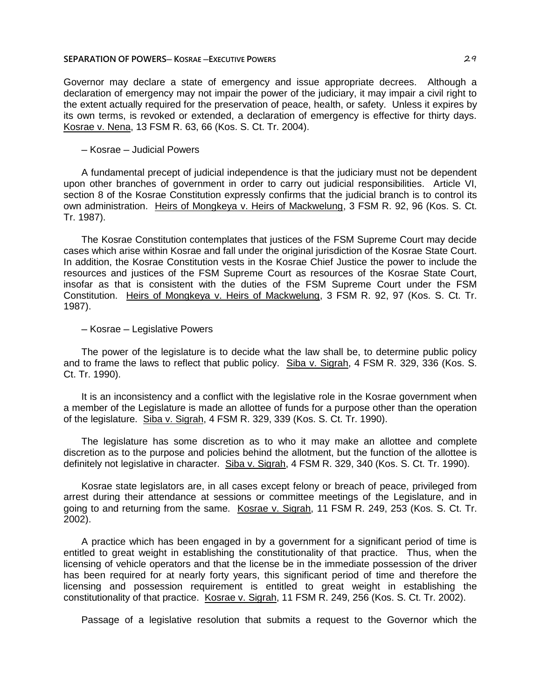## **SEPARATION OF POWERS— KOSRAE – EXECUTIVE POWERS <b>CONSUMING 29** 29

Governor may declare a state of emergency and issue appropriate decrees. Although a declaration of emergency may not impair the power of the judiciary, it may impair a civil right to the extent actually required for the preservation of peace, health, or safety. Unless it expires by its own terms, is revoked or extended, a declaration of emergency is effective for thirty days. Kosrae v. Nena, 13 FSM R. 63, 66 (Kos. S. Ct. Tr. 2004).

#### ─ Kosrae ─ Judicial Powers

A fundamental precept of judicial independence is that the judiciary must not be dependent upon other branches of government in order to carry out judicial responsibilities. Article VI, section 8 of the Kosrae Constitution expressly confirms that the judicial branch is to control its own administration. Heirs of Mongkeya v. Heirs of Mackwelung, 3 FSM R. 92, 96 (Kos. S. Ct. Tr. 1987).

The Kosrae Constitution contemplates that justices of the FSM Supreme Court may decide cases which arise within Kosrae and fall under the original jurisdiction of the Kosrae State Court. In addition, the Kosrae Constitution vests in the Kosrae Chief Justice the power to include the resources and justices of the FSM Supreme Court as resources of the Kosrae State Court, insofar as that is consistent with the duties of the FSM Supreme Court under the FSM Constitution. Heirs of Mongkeya v. Heirs of Mackwelung, 3 FSM R. 92, 97 (Kos. S. Ct. Tr. 1987).

─ Kosrae ─ Legislative Powers

The power of the legislature is to decide what the law shall be, to determine public policy and to frame the laws to reflect that public policy. Siba v. Sigrah, 4 FSM R. 329, 336 (Kos. S. Ct. Tr. 1990).

It is an inconsistency and a conflict with the legislative role in the Kosrae government when a member of the Legislature is made an allottee of funds for a purpose other than the operation of the legislature. Siba v. Sigrah, 4 FSM R. 329, 339 (Kos. S. Ct. Tr. 1990).

The legislature has some discretion as to who it may make an allottee and complete discretion as to the purpose and policies behind the allotment, but the function of the allottee is definitely not legislative in character. Siba v. Sigrah, 4 FSM R. 329, 340 (Kos. S. Ct. Tr. 1990).

Kosrae state legislators are, in all cases except felony or breach of peace, privileged from arrest during their attendance at sessions or committee meetings of the Legislature, and in going to and returning from the same. Kosrae v. Sigrah, 11 FSM R. 249, 253 (Kos. S. Ct. Tr. 2002).

A practice which has been engaged in by a government for a significant period of time is entitled to great weight in establishing the constitutionality of that practice. Thus, when the licensing of vehicle operators and that the license be in the immediate possession of the driver has been required for at nearly forty years, this significant period of time and therefore the licensing and possession requirement is entitled to great weight in establishing the constitutionality of that practice. Kosrae v. Sigrah, 11 FSM R. 249, 256 (Kos. S. Ct. Tr. 2002).

Passage of a legislative resolution that submits a request to the Governor which the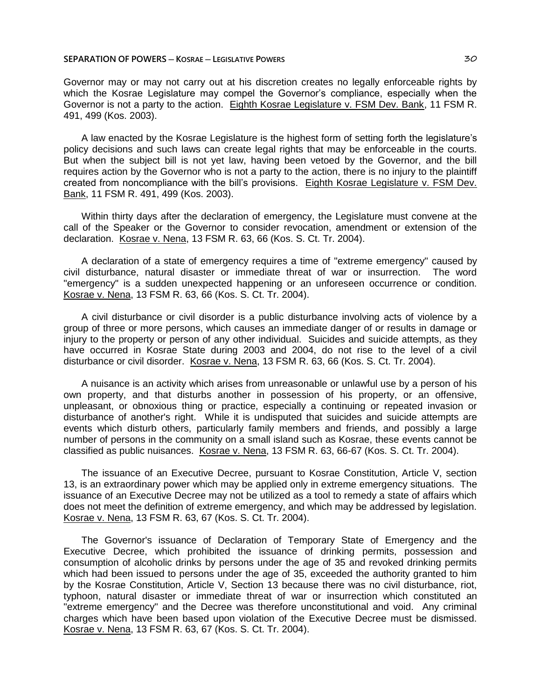Governor may or may not carry out at his discretion creates no legally enforceable rights by which the Kosrae Legislature may compel the Governor's compliance, especially when the Governor is not a party to the action. Eighth Kosrae Legislature v. FSM Dev. Bank, 11 FSM R. 491, 499 (Kos. 2003).

A law enacted by the Kosrae Legislature is the highest form of setting forth the legislature's policy decisions and such laws can create legal rights that may be enforceable in the courts. But when the subject bill is not yet law, having been vetoed by the Governor, and the bill requires action by the Governor who is not a party to the action, there is no injury to the plaintiff created from noncompliance with the bill's provisions. Eighth Kosrae Legislature v. FSM Dev. Bank, 11 FSM R. 491, 499 (Kos. 2003).

Within thirty days after the declaration of emergency, the Legislature must convene at the call of the Speaker or the Governor to consider revocation, amendment or extension of the declaration. Kosrae v. Nena, 13 FSM R. 63, 66 (Kos. S. Ct. Tr. 2004).

A declaration of a state of emergency requires a time of "extreme emergency" caused by civil disturbance, natural disaster or immediate threat of war or insurrection. The word "emergency" is a sudden unexpected happening or an unforeseen occurrence or condition. Kosrae v. Nena, 13 FSM R. 63, 66 (Kos. S. Ct. Tr. 2004).

A civil disturbance or civil disorder is a public disturbance involving acts of violence by a group of three or more persons, which causes an immediate danger of or results in damage or injury to the property or person of any other individual. Suicides and suicide attempts, as they have occurred in Kosrae State during 2003 and 2004, do not rise to the level of a civil disturbance or civil disorder. Kosrae v. Nena, 13 FSM R. 63, 66 (Kos. S. Ct. Tr. 2004).

A nuisance is an activity which arises from unreasonable or unlawful use by a person of his own property, and that disturbs another in possession of his property, or an offensive, unpleasant, or obnoxious thing or practice, especially a continuing or repeated invasion or disturbance of another's right. While it is undisputed that suicides and suicide attempts are events which disturb others, particularly family members and friends, and possibly a large number of persons in the community on a small island such as Kosrae, these events cannot be classified as public nuisances. Kosrae v. Nena, 13 FSM R. 63, 66-67 (Kos. S. Ct. Tr. 2004).

The issuance of an Executive Decree, pursuant to Kosrae Constitution, Article V, section 13, is an extraordinary power which may be applied only in extreme emergency situations. The issuance of an Executive Decree may not be utilized as a tool to remedy a state of affairs which does not meet the definition of extreme emergency, and which may be addressed by legislation. Kosrae v. Nena, 13 FSM R. 63, 67 (Kos. S. Ct. Tr. 2004).

The Governor's issuance of Declaration of Temporary State of Emergency and the Executive Decree, which prohibited the issuance of drinking permits, possession and consumption of alcoholic drinks by persons under the age of 35 and revoked drinking permits which had been issued to persons under the age of 35, exceeded the authority granted to him by the Kosrae Constitution, Article V, Section 13 because there was no civil disturbance, riot, typhoon, natural disaster or immediate threat of war or insurrection which constituted an "extreme emergency" and the Decree was therefore unconstitutional and void. Any criminal charges which have been based upon violation of the Executive Decree must be dismissed. Kosrae v. Nena, 13 FSM R. 63, 67 (Kos. S. Ct. Tr. 2004).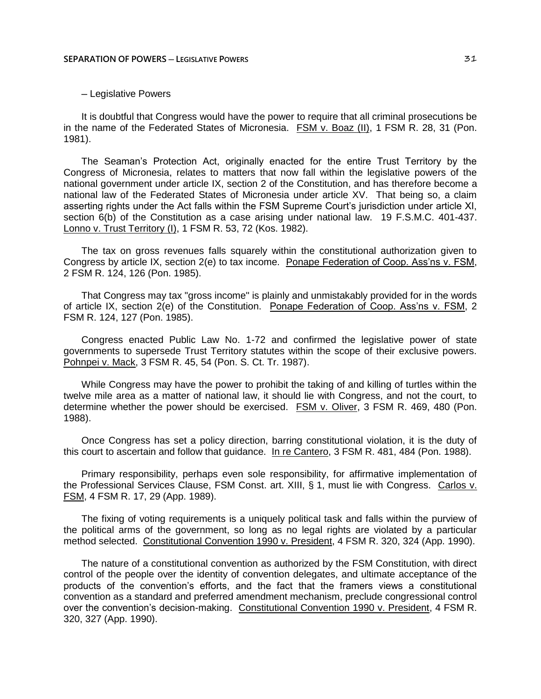# ─ Legislative Powers

It is doubtful that Congress would have the power to require that all criminal prosecutions be in the name of the Federated States of Micronesia. FSM v. Boaz (II), 1 FSM R. 28, 31 (Pon. 1981).

The Seaman's Protection Act, originally enacted for the entire Trust Territory by the Congress of Micronesia, relates to matters that now fall within the legislative powers of the national government under article IX, section 2 of the Constitution, and has therefore become a national law of the Federated States of Micronesia under article XV. That being so, a claim asserting rights under the Act falls within the FSM Supreme Court's jurisdiction under article XI, section 6(b) of the Constitution as a case arising under national law. 19 F.S.M.C. 401-437. Lonno v. Trust Territory (I), 1 FSM R. 53, 72 (Kos. 1982).

The tax on gross revenues falls squarely within the constitutional authorization given to Congress by article IX, section 2(e) to tax income. Ponape Federation of Coop. Ass'ns v. FSM, 2 FSM R. 124, 126 (Pon. 1985).

That Congress may tax "gross income" is plainly and unmistakably provided for in the words of article IX, section 2(e) of the Constitution. Ponape Federation of Coop. Ass'ns v. FSM, 2 FSM R. 124, 127 (Pon. 1985).

Congress enacted Public Law No. 1-72 and confirmed the legislative power of state governments to supersede Trust Territory statutes within the scope of their exclusive powers. Pohnpei v. Mack, 3 FSM R. 45, 54 (Pon. S. Ct. Tr. 1987).

While Congress may have the power to prohibit the taking of and killing of turtles within the twelve mile area as a matter of national law, it should lie with Congress, and not the court, to determine whether the power should be exercised. FSM v. Oliver, 3 FSM R. 469, 480 (Pon. 1988).

Once Congress has set a policy direction, barring constitutional violation, it is the duty of this court to ascertain and follow that guidance. In re Cantero, 3 FSM R. 481, 484 (Pon. 1988).

Primary responsibility, perhaps even sole responsibility, for affirmative implementation of the Professional Services Clause, FSM Const. art. XIII, § 1, must lie with Congress. Carlos v. FSM, 4 FSM R. 17, 29 (App. 1989).

The fixing of voting requirements is a uniquely political task and falls within the purview of the political arms of the government, so long as no legal rights are violated by a particular method selected. Constitutional Convention 1990 v. President, 4 FSM R. 320, 324 (App. 1990).

The nature of a constitutional convention as authorized by the FSM Constitution, with direct control of the people over the identity of convention delegates, and ultimate acceptance of the products of the convention's efforts, and the fact that the framers views a constitutional convention as a standard and preferred amendment mechanism, preclude congressional control over the convention's decision-making. Constitutional Convention 1990 v. President, 4 FSM R. 320, 327 (App. 1990).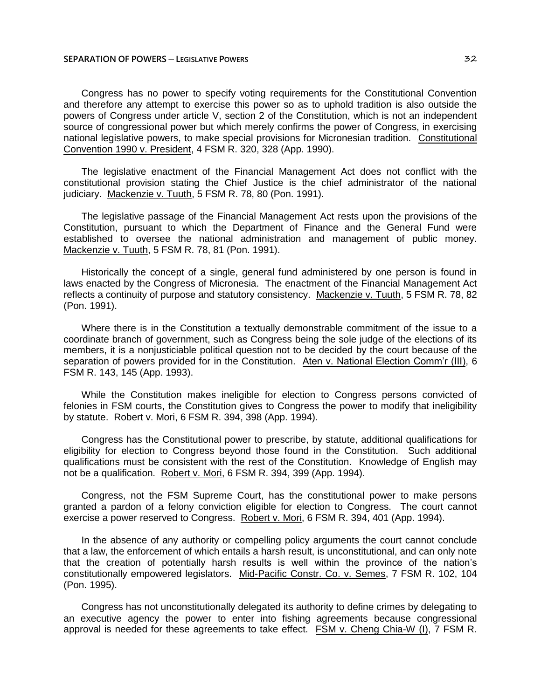Congress has no power to specify voting requirements for the Constitutional Convention and therefore any attempt to exercise this power so as to uphold tradition is also outside the powers of Congress under article V, section 2 of the Constitution, which is not an independent source of congressional power but which merely confirms the power of Congress, in exercising national legislative powers, to make special provisions for Micronesian tradition. Constitutional Convention 1990 v. President, 4 FSM R. 320, 328 (App. 1990).

The legislative enactment of the Financial Management Act does not conflict with the constitutional provision stating the Chief Justice is the chief administrator of the national judiciary. Mackenzie v. Tuuth, 5 FSM R. 78, 80 (Pon. 1991).

The legislative passage of the Financial Management Act rests upon the provisions of the Constitution, pursuant to which the Department of Finance and the General Fund were established to oversee the national administration and management of public money. Mackenzie v. Tuuth, 5 FSM R. 78, 81 (Pon. 1991).

Historically the concept of a single, general fund administered by one person is found in laws enacted by the Congress of Micronesia. The enactment of the Financial Management Act reflects a continuity of purpose and statutory consistency. Mackenzie v. Tuuth, 5 FSM R. 78, 82 (Pon. 1991).

Where there is in the Constitution a textually demonstrable commitment of the issue to a coordinate branch of government, such as Congress being the sole judge of the elections of its members, it is a nonjusticiable political question not to be decided by the court because of the separation of powers provided for in the Constitution. Aten v. National Election Comm'r (III), 6 FSM R. 143, 145 (App. 1993).

While the Constitution makes ineligible for election to Congress persons convicted of felonies in FSM courts, the Constitution gives to Congress the power to modify that ineligibility by statute. Robert v. Mori, 6 FSM R. 394, 398 (App. 1994).

Congress has the Constitutional power to prescribe, by statute, additional qualifications for eligibility for election to Congress beyond those found in the Constitution. Such additional qualifications must be consistent with the rest of the Constitution. Knowledge of English may not be a qualification. Robert v. Mori, 6 FSM R. 394, 399 (App. 1994).

Congress, not the FSM Supreme Court, has the constitutional power to make persons granted a pardon of a felony conviction eligible for election to Congress. The court cannot exercise a power reserved to Congress. Robert v. Mori, 6 FSM R. 394, 401 (App. 1994).

In the absence of any authority or compelling policy arguments the court cannot conclude that a law, the enforcement of which entails a harsh result, is unconstitutional, and can only note that the creation of potentially harsh results is well within the province of the nation's constitutionally empowered legislators. Mid-Pacific Constr. Co. v. Semes, 7 FSM R. 102, 104 (Pon. 1995).

Congress has not unconstitutionally delegated its authority to define crimes by delegating to an executive agency the power to enter into fishing agreements because congressional approval is needed for these agreements to take effect. FSM v. Cheng Chia-W (I), 7 FSM R.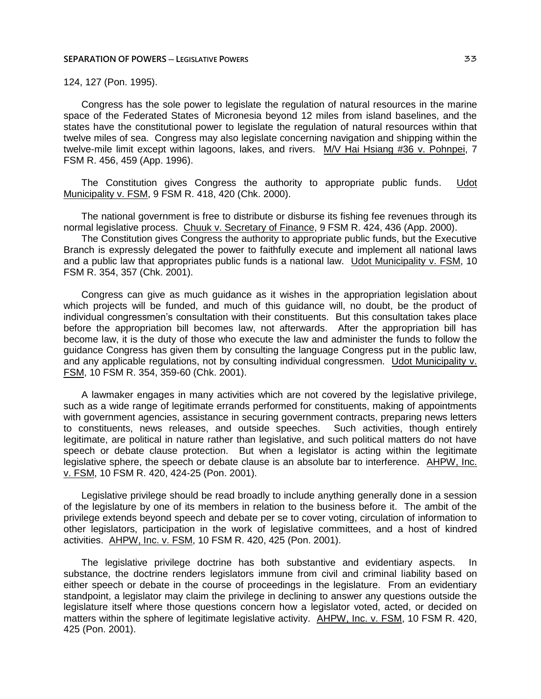# 124, 127 (Pon. 1995).

Congress has the sole power to legislate the regulation of natural resources in the marine space of the Federated States of Micronesia beyond 12 miles from island baselines, and the states have the constitutional power to legislate the regulation of natural resources within that twelve miles of sea. Congress may also legislate concerning navigation and shipping within the twelve-mile limit except within lagoons, lakes, and rivers. M/V Hai Hsiang #36 v. Pohnpei, 7 FSM R. 456, 459 (App. 1996).

The Constitution gives Congress the authority to appropriate public funds. Udot Municipality v. FSM, 9 FSM R. 418, 420 (Chk. 2000).

The national government is free to distribute or disburse its fishing fee revenues through its normal legislative process. Chuuk v. Secretary of Finance, 9 FSM R. 424, 436 (App. 2000).

The Constitution gives Congress the authority to appropriate public funds, but the Executive Branch is expressly delegated the power to faithfully execute and implement all national laws and a public law that appropriates public funds is a national law. Udot Municipality v. FSM, 10 FSM R. 354, 357 (Chk. 2001).

Congress can give as much guidance as it wishes in the appropriation legislation about which projects will be funded, and much of this guidance will, no doubt, be the product of individual congressmen's consultation with their constituents. But this consultation takes place before the appropriation bill becomes law, not afterwards. After the appropriation bill has become law, it is the duty of those who execute the law and administer the funds to follow the guidance Congress has given them by consulting the language Congress put in the public law, and any applicable regulations, not by consulting individual congressmen. Udot Municipality v. FSM, 10 FSM R. 354, 359-60 (Chk. 2001).

A lawmaker engages in many activities which are not covered by the legislative privilege, such as a wide range of legitimate errands performed for constituents, making of appointments with government agencies, assistance in securing government contracts, preparing news letters to constituents, news releases, and outside speeches. Such activities, though entirely legitimate, are political in nature rather than legislative, and such political matters do not have speech or debate clause protection. But when a legislator is acting within the legitimate legislative sphere, the speech or debate clause is an absolute bar to interference. AHPW, Inc. v. FSM, 10 FSM R. 420, 424-25 (Pon. 2001).

Legislative privilege should be read broadly to include anything generally done in a session of the legislature by one of its members in relation to the business before it. The ambit of the privilege extends beyond speech and debate per se to cover voting, circulation of information to other legislators, participation in the work of legislative committees, and a host of kindred activities. AHPW, Inc. v. FSM, 10 FSM R. 420, 425 (Pon. 2001).

The legislative privilege doctrine has both substantive and evidentiary aspects. In substance, the doctrine renders legislators immune from civil and criminal liability based on either speech or debate in the course of proceedings in the legislature. From an evidentiary standpoint, a legislator may claim the privilege in declining to answer any questions outside the legislature itself where those questions concern how a legislator voted, acted, or decided on matters within the sphere of legitimate legislative activity. AHPW, Inc. v. FSM, 10 FSM R. 420, 425 (Pon. 2001).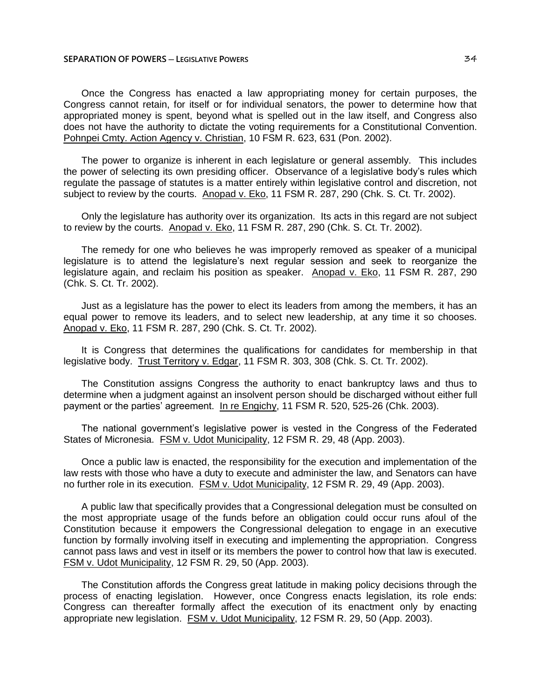Once the Congress has enacted a law appropriating money for certain purposes, the Congress cannot retain, for itself or for individual senators, the power to determine how that appropriated money is spent, beyond what is spelled out in the law itself, and Congress also does not have the authority to dictate the voting requirements for a Constitutional Convention. Pohnpei Cmty. Action Agency v. Christian, 10 FSM R. 623, 631 (Pon. 2002).

The power to organize is inherent in each legislature or general assembly. This includes the power of selecting its own presiding officer. Observance of a legislative body's rules which regulate the passage of statutes is a matter entirely within legislative control and discretion, not subject to review by the courts. Anopad v. Eko, 11 FSM R. 287, 290 (Chk. S. Ct. Tr. 2002).

Only the legislature has authority over its organization. Its acts in this regard are not subject to review by the courts. Anopad v. Eko, 11 FSM R. 287, 290 (Chk. S. Ct. Tr. 2002).

The remedy for one who believes he was improperly removed as speaker of a municipal legislature is to attend the legislature's next regular session and seek to reorganize the legislature again, and reclaim his position as speaker. Anopad v. Eko, 11 FSM R. 287, 290 (Chk. S. Ct. Tr. 2002).

Just as a legislature has the power to elect its leaders from among the members, it has an equal power to remove its leaders, and to select new leadership, at any time it so chooses. Anopad v. Eko, 11 FSM R. 287, 290 (Chk. S. Ct. Tr. 2002).

It is Congress that determines the qualifications for candidates for membership in that legislative body. Trust Territory v. Edgar, 11 FSM R. 303, 308 (Chk. S. Ct. Tr. 2002).

The Constitution assigns Congress the authority to enact bankruptcy laws and thus to determine when a judgment against an insolvent person should be discharged without either full payment or the parties' agreement. In re Engichy, 11 FSM R. 520, 525-26 (Chk. 2003).

The national government's legislative power is vested in the Congress of the Federated States of Micronesia. FSM v. Udot Municipality, 12 FSM R. 29, 48 (App. 2003).

Once a public law is enacted, the responsibility for the execution and implementation of the law rests with those who have a duty to execute and administer the law, and Senators can have no further role in its execution. **FSM v. Udot Municipality**, 12 FSM R. 29, 49 (App. 2003).

A public law that specifically provides that a Congressional delegation must be consulted on the most appropriate usage of the funds before an obligation could occur runs afoul of the Constitution because it empowers the Congressional delegation to engage in an executive function by formally involving itself in executing and implementing the appropriation. Congress cannot pass laws and vest in itself or its members the power to control how that law is executed. FSM v. Udot Municipality, 12 FSM R. 29, 50 (App. 2003).

The Constitution affords the Congress great latitude in making policy decisions through the process of enacting legislation. However, once Congress enacts legislation, its role ends: Congress can thereafter formally affect the execution of its enactment only by enacting appropriate new legislation. FSM v. Udot Municipality, 12 FSM R. 29, 50 (App. 2003).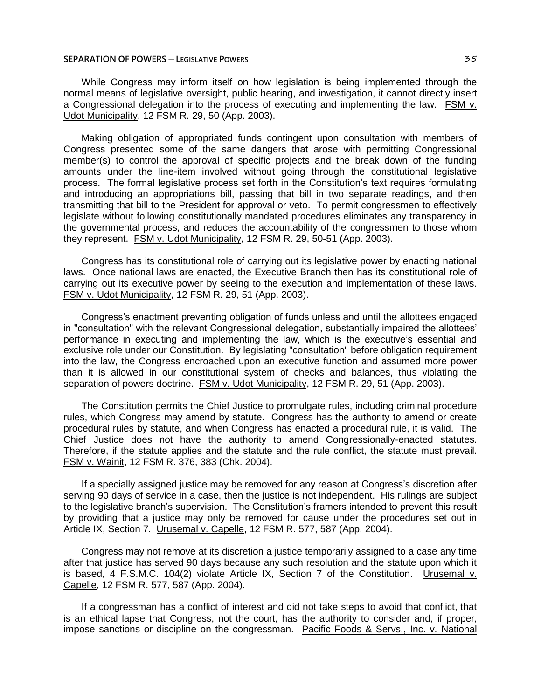While Congress may inform itself on how legislation is being implemented through the normal means of legislative oversight, public hearing, and investigation, it cannot directly insert a Congressional delegation into the process of executing and implementing the law. FSM v. Udot Municipality, 12 FSM R. 29, 50 (App. 2003).

Making obligation of appropriated funds contingent upon consultation with members of Congress presented some of the same dangers that arose with permitting Congressional member(s) to control the approval of specific projects and the break down of the funding amounts under the line-item involved without going through the constitutional legislative process. The formal legislative process set forth in the Constitution's text requires formulating and introducing an appropriations bill, passing that bill in two separate readings, and then transmitting that bill to the President for approval or veto. To permit congressmen to effectively legislate without following constitutionally mandated procedures eliminates any transparency in the governmental process, and reduces the accountability of the congressmen to those whom they represent. FSM v. Udot Municipality, 12 FSM R. 29, 50-51 (App. 2003).

Congress has its constitutional role of carrying out its legislative power by enacting national laws. Once national laws are enacted, the Executive Branch then has its constitutional role of carrying out its executive power by seeing to the execution and implementation of these laws. FSM v. Udot Municipality, 12 FSM R. 29, 51 (App. 2003).

Congress's enactment preventing obligation of funds unless and until the allottees engaged in "consultation" with the relevant Congressional delegation, substantially impaired the allottees' performance in executing and implementing the law, which is the executive's essential and exclusive role under our Constitution. By legislating "consultation" before obligation requirement into the law, the Congress encroached upon an executive function and assumed more power than it is allowed in our constitutional system of checks and balances, thus violating the separation of powers doctrine. FSM v. Udot Municipality, 12 FSM R. 29, 51 (App. 2003).

The Constitution permits the Chief Justice to promulgate rules, including criminal procedure rules, which Congress may amend by statute. Congress has the authority to amend or create procedural rules by statute, and when Congress has enacted a procedural rule, it is valid. The Chief Justice does not have the authority to amend Congressionally-enacted statutes. Therefore, if the statute applies and the statute and the rule conflict, the statute must prevail. FSM v. Wainit, 12 FSM R. 376, 383 (Chk. 2004).

If a specially assigned justice may be removed for any reason at Congress's discretion after serving 90 days of service in a case, then the justice is not independent. His rulings are subject to the legislative branch's supervision. The Constitution's framers intended to prevent this result by providing that a justice may only be removed for cause under the procedures set out in Article IX, Section 7. Urusemal v. Capelle, 12 FSM R. 577, 587 (App. 2004).

Congress may not remove at its discretion a justice temporarily assigned to a case any time after that justice has served 90 days because any such resolution and the statute upon which it is based, 4 F.S.M.C. 104(2) violate Article IX, Section 7 of the Constitution. Urusemal v. Capelle, 12 FSM R. 577, 587 (App. 2004).

If a congressman has a conflict of interest and did not take steps to avoid that conflict, that is an ethical lapse that Congress, not the court, has the authority to consider and, if proper, impose sanctions or discipline on the congressman. Pacific Foods & Servs., Inc. v. National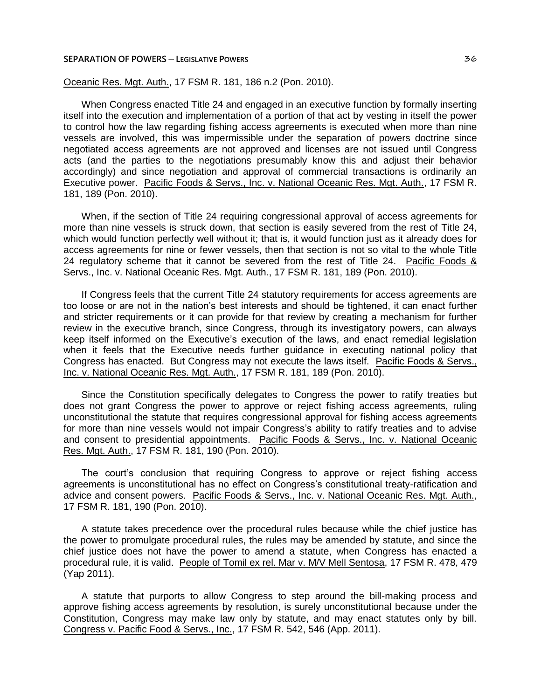Oceanic Res. Mgt. Auth., 17 FSM R. 181, 186 n.2 (Pon. 2010).

When Congress enacted Title 24 and engaged in an executive function by formally inserting itself into the execution and implementation of a portion of that act by vesting in itself the power to control how the law regarding fishing access agreements is executed when more than nine vessels are involved, this was impermissible under the separation of powers doctrine since negotiated access agreements are not approved and licenses are not issued until Congress acts (and the parties to the negotiations presumably know this and adjust their behavior accordingly) and since negotiation and approval of commercial transactions is ordinarily an Executive power. Pacific Foods & Servs., Inc. v. National Oceanic Res. Mgt. Auth., 17 FSM R. 181, 189 (Pon. 2010).

When, if the section of Title 24 requiring congressional approval of access agreements for more than nine vessels is struck down, that section is easily severed from the rest of Title 24, which would function perfectly well without it; that is, it would function just as it already does for access agreements for nine or fewer vessels, then that section is not so vital to the whole Title 24 regulatory scheme that it cannot be severed from the rest of Title 24. Pacific Foods & Servs., Inc. v. National Oceanic Res. Mgt. Auth., 17 FSM R. 181, 189 (Pon. 2010).

If Congress feels that the current Title 24 statutory requirements for access agreements are too loose or are not in the nation's best interests and should be tightened, it can enact further and stricter requirements or it can provide for that review by creating a mechanism for further review in the executive branch, since Congress, through its investigatory powers, can always keep itself informed on the Executive's execution of the laws, and enact remedial legislation when it feels that the Executive needs further guidance in executing national policy that Congress has enacted. But Congress may not execute the laws itself. Pacific Foods & Servs., Inc. v. National Oceanic Res. Mgt. Auth., 17 FSM R. 181, 189 (Pon. 2010).

Since the Constitution specifically delegates to Congress the power to ratify treaties but does not grant Congress the power to approve or reject fishing access agreements, ruling unconstitutional the statute that requires congressional approval for fishing access agreements for more than nine vessels would not impair Congress's ability to ratify treaties and to advise and consent to presidential appointments. Pacific Foods & Servs., Inc. v. National Oceanic Res. Mgt. Auth., 17 FSM R. 181, 190 (Pon. 2010).

The court's conclusion that requiring Congress to approve or reject fishing access agreements is unconstitutional has no effect on Congress's constitutional treaty-ratification and advice and consent powers. Pacific Foods & Servs., Inc. v. National Oceanic Res. Mgt. Auth., 17 FSM R. 181, 190 (Pon. 2010).

A statute takes precedence over the procedural rules because while the chief justice has the power to promulgate procedural rules, the rules may be amended by statute, and since the chief justice does not have the power to amend a statute, when Congress has enacted a procedural rule, it is valid. People of Tomil ex rel. Mar v. M/V Mell Sentosa, 17 FSM R. 478, 479 (Yap 2011).

A statute that purports to allow Congress to step around the bill-making process and approve fishing access agreements by resolution, is surely unconstitutional because under the Constitution, Congress may make law only by statute, and may enact statutes only by bill. Congress v. Pacific Food & Servs., Inc., 17 FSM R. 542, 546 (App. 2011).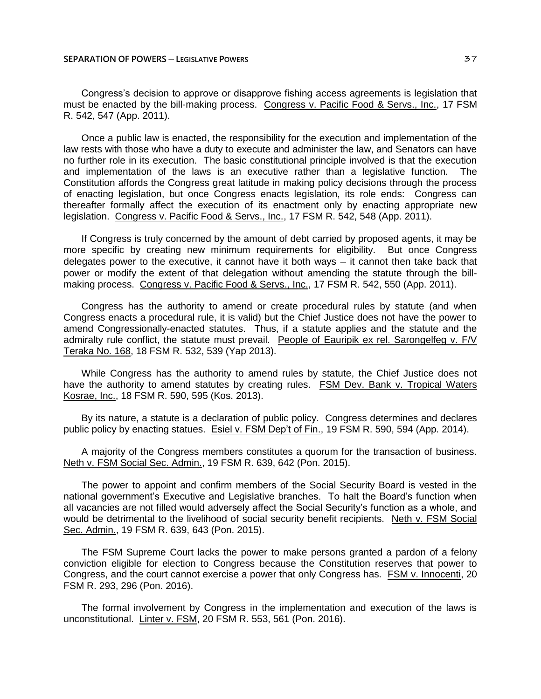Congress's decision to approve or disapprove fishing access agreements is legislation that must be enacted by the bill-making process. Congress v. Pacific Food & Servs., Inc., 17 FSM R. 542, 547 (App. 2011).

Once a public law is enacted, the responsibility for the execution and implementation of the law rests with those who have a duty to execute and administer the law, and Senators can have no further role in its execution. The basic constitutional principle involved is that the execution and implementation of the laws is an executive rather than a legislative function. The Constitution affords the Congress great latitude in making policy decisions through the process of enacting legislation, but once Congress enacts legislation, its role ends: Congress can thereafter formally affect the execution of its enactment only by enacting appropriate new legislation. Congress v. Pacific Food & Servs., Inc., 17 FSM R. 542, 548 (App. 2011).

If Congress is truly concerned by the amount of debt carried by proposed agents, it may be more specific by creating new minimum requirements for eligibility. But once Congress delegates power to the executive, it cannot have it both ways — it cannot then take back that power or modify the extent of that delegation without amending the statute through the billmaking process. Congress v. Pacific Food & Servs., Inc., 17 FSM R. 542, 550 (App. 2011).

Congress has the authority to amend or create procedural rules by statute (and when Congress enacts a procedural rule, it is valid) but the Chief Justice does not have the power to amend Congressionally-enacted statutes. Thus, if a statute applies and the statute and the admiralty rule conflict, the statute must prevail. People of Eauripik ex rel. Sarongelfeg v. F/V Teraka No. 168, 18 FSM R. 532, 539 (Yap 2013).

While Congress has the authority to amend rules by statute, the Chief Justice does not have the authority to amend statutes by creating rules. FSM Dev. Bank v. Tropical Waters Kosrae, Inc., 18 FSM R. 590, 595 (Kos. 2013).

By its nature, a statute is a declaration of public policy. Congress determines and declares public policy by enacting statues. Esiel v. FSM Dep't of Fin., 19 FSM R. 590, 594 (App. 2014).

A majority of the Congress members constitutes a quorum for the transaction of business. Neth v. FSM Social Sec. Admin., 19 FSM R. 639, 642 (Pon. 2015).

The power to appoint and confirm members of the Social Security Board is vested in the national government's Executive and Legislative branches. To halt the Board's function when all vacancies are not filled would adversely affect the Social Security's function as a whole, and would be detrimental to the livelihood of social security benefit recipients. Neth v. FSM Social Sec. Admin., 19 FSM R. 639, 643 (Pon. 2015).

The FSM Supreme Court lacks the power to make persons granted a pardon of a felony conviction eligible for election to Congress because the Constitution reserves that power to Congress, and the court cannot exercise a power that only Congress has. FSM v. Innocenti, 20 FSM R. 293, 296 (Pon. 2016).

The formal involvement by Congress in the implementation and execution of the laws is unconstitutional. Linter v. FSM, 20 FSM R. 553, 561 (Pon. 2016).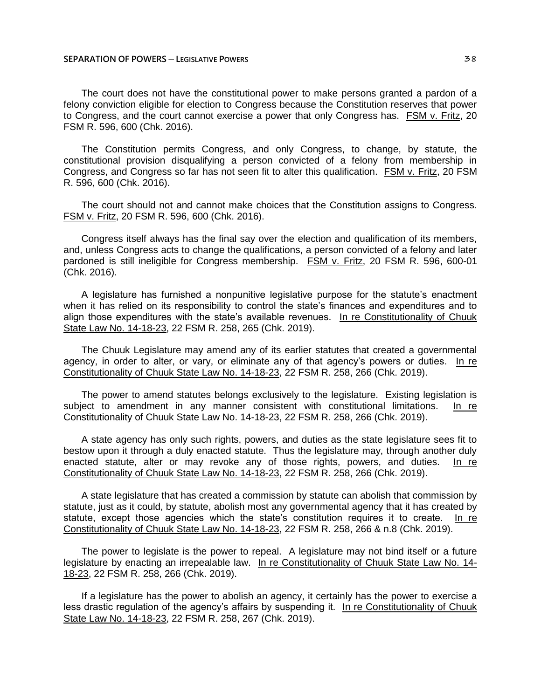The court does not have the constitutional power to make persons granted a pardon of a felony conviction eligible for election to Congress because the Constitution reserves that power to Congress, and the court cannot exercise a power that only Congress has. FSM v. Fritz, 20 FSM R. 596, 600 (Chk. 2016).

The Constitution permits Congress, and only Congress, to change, by statute, the constitutional provision disqualifying a person convicted of a felony from membership in Congress, and Congress so far has not seen fit to alter this qualification. FSM v. Fritz, 20 FSM R. 596, 600 (Chk. 2016).

The court should not and cannot make choices that the Constitution assigns to Congress. FSM v. Fritz, 20 FSM R. 596, 600 (Chk. 2016).

Congress itself always has the final say over the election and qualification of its members, and, unless Congress acts to change the qualifications, a person convicted of a felony and later pardoned is still ineligible for Congress membership. FSM v. Fritz, 20 FSM R. 596, 600-01 (Chk. 2016).

A legislature has furnished a nonpunitive legislative purpose for the statute's enactment when it has relied on its responsibility to control the state's finances and expenditures and to align those expenditures with the state's available revenues. In re Constitutionality of Chuuk State Law No. 14-18-23, 22 FSM R. 258, 265 (Chk. 2019).

The Chuuk Legislature may amend any of its earlier statutes that created a governmental agency, in order to alter, or vary, or eliminate any of that agency's powers or duties. In re Constitutionality of Chuuk State Law No. 14-18-23, 22 FSM R. 258, 266 (Chk. 2019).

The power to amend statutes belongs exclusively to the legislature. Existing legislation is subject to amendment in any manner consistent with constitutional limitations. In re Constitutionality of Chuuk State Law No. 14-18-23, 22 FSM R. 258, 266 (Chk. 2019).

A state agency has only such rights, powers, and duties as the state legislature sees fit to bestow upon it through a duly enacted statute. Thus the legislature may, through another duly enacted statute, alter or may revoke any of those rights, powers, and duties. In re Constitutionality of Chuuk State Law No. 14-18-23, 22 FSM R. 258, 266 (Chk. 2019).

A state legislature that has created a commission by statute can abolish that commission by statute, just as it could, by statute, abolish most any governmental agency that it has created by statute, except those agencies which the state's constitution requires it to create. In re Constitutionality of Chuuk State Law No. 14-18-23, 22 FSM R. 258, 266 & n.8 (Chk. 2019).

The power to legislate is the power to repeal. A legislature may not bind itself or a future legislature by enacting an irrepealable law. In re Constitutionality of Chuuk State Law No. 14- 18-23, 22 FSM R. 258, 266 (Chk. 2019).

If a legislature has the power to abolish an agency, it certainly has the power to exercise a less drastic regulation of the agency's affairs by suspending it. In re Constitutionality of Chuuk State Law No. 14-18-23, 22 FSM R. 258, 267 (Chk. 2019).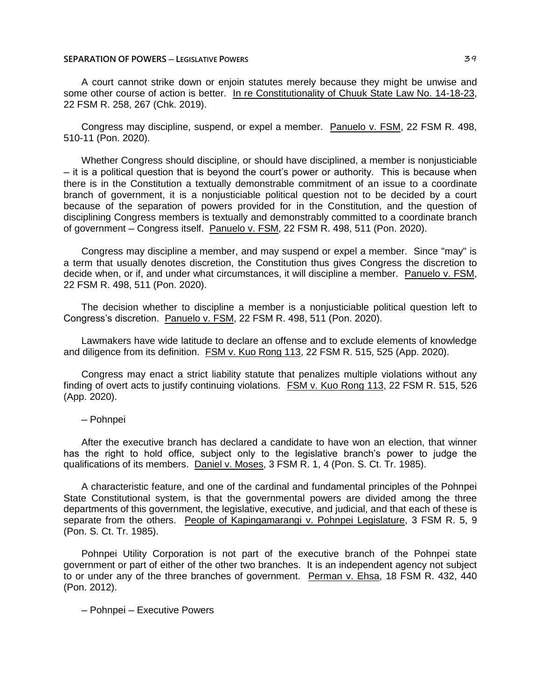## **SEPARATION OF POWERS** — LEGISLATIVE POWERS **ACCOUNT ASSAULT ASSAULT ASSAULT ASSAULT 39**

A court cannot strike down or enjoin statutes merely because they might be unwise and some other course of action is better. In re Constitutionality of Chuuk State Law No. 14-18-23, 22 FSM R. 258, 267 (Chk. 2019).

Congress may discipline, suspend, or expel a member. Panuelo v. FSM, 22 FSM R. 498, 510-11 (Pon. 2020).

Whether Congress should discipline, or should have disciplined, a member is nonjusticiable ─ it is a political question that is beyond the court's power or authority. This is because when there is in the Constitution a textually demonstrable commitment of an issue to a coordinate branch of government, it is a nonjusticiable political question not to be decided by a court because of the separation of powers provided for in the Constitution, and the question of disciplining Congress members is textually and demonstrably committed to a coordinate branch of government - Congress itself. Panuelo v. FSM, 22 FSM R. 498, 511 (Pon. 2020).

Congress may discipline a member, and may suspend or expel a member. Since "may" is a term that usually denotes discretion, the Constitution thus gives Congress the discretion to decide when, or if, and under what circumstances, it will discipline a member. Panuelo v. FSM, 22 FSM R. 498, 511 (Pon. 2020).

The decision whether to discipline a member is a nonjusticiable political question left to Congress's discretion. Panuelo v. FSM, 22 FSM R. 498, 511 (Pon. 2020).

Lawmakers have wide latitude to declare an offense and to exclude elements of knowledge and diligence from its definition. FSM v. Kuo Rong 113, 22 FSM R. 515, 525 (App. 2020).

Congress may enact a strict liability statute that penalizes multiple violations without any finding of overt acts to justify continuing violations. FSM v. Kuo Rong 113, 22 FSM R. 515, 526 (App. 2020).

─ Pohnpei

After the executive branch has declared a candidate to have won an election, that winner has the right to hold office, subject only to the legislative branch's power to judge the qualifications of its members. Daniel v. Moses, 3 FSM R. 1, 4 (Pon. S. Ct. Tr. 1985).

A characteristic feature, and one of the cardinal and fundamental principles of the Pohnpei State Constitutional system, is that the governmental powers are divided among the three departments of this government, the legislative, executive, and judicial, and that each of these is separate from the others. People of Kapingamarangi v. Pohnpei Legislature, 3 FSM R. 5, 9 (Pon. S. Ct. Tr. 1985).

Pohnpei Utility Corporation is not part of the executive branch of the Pohnpei state government or part of either of the other two branches. It is an independent agency not subject to or under any of the three branches of government. Perman v. Ehsa, 18 FSM R. 432, 440 (Pon. 2012).

─ Pohnpei ─ Executive Powers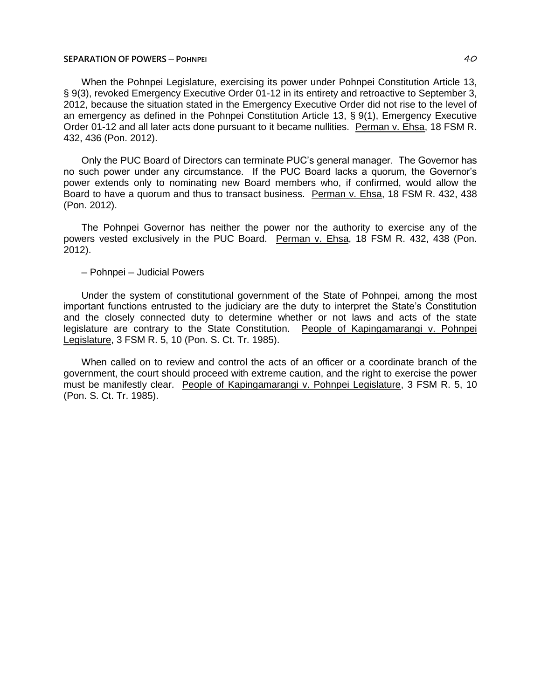## **SEPARATION OF POWERS ─ POHNPEI** 40

When the Pohnpei Legislature, exercising its power under Pohnpei Constitution Article 13, § 9(3), revoked Emergency Executive Order 01-12 in its entirety and retroactive to September 3, 2012, because the situation stated in the Emergency Executive Order did not rise to the level of an emergency as defined in the Pohnpei Constitution Article 13, § 9(1), Emergency Executive Order 01-12 and all later acts done pursuant to it became nullities. Perman v. Ehsa, 18 FSM R. 432, 436 (Pon. 2012).

Only the PUC Board of Directors can terminate PUC's general manager. The Governor has no such power under any circumstance. If the PUC Board lacks a quorum, the Governor's power extends only to nominating new Board members who, if confirmed, would allow the Board to have a quorum and thus to transact business. Perman v. Ehsa, 18 FSM R. 432, 438 (Pon. 2012).

The Pohnpei Governor has neither the power nor the authority to exercise any of the powers vested exclusively in the PUC Board. Perman v. Ehsa, 18 FSM R. 432, 438 (Pon. 2012).

## ─ Pohnpei ─ Judicial Powers

Under the system of constitutional government of the State of Pohnpei, among the most important functions entrusted to the judiciary are the duty to interpret the State's Constitution and the closely connected duty to determine whether or not laws and acts of the state legislature are contrary to the State Constitution. People of Kapingamarangi v. Pohnpei Legislature, 3 FSM R. 5, 10 (Pon. S. Ct. Tr. 1985).

When called on to review and control the acts of an officer or a coordinate branch of the government, the court should proceed with extreme caution, and the right to exercise the power must be manifestly clear. People of Kapingamarangi v. Pohnpei Legislature, 3 FSM R. 5, 10 (Pon. S. Ct. Tr. 1985).